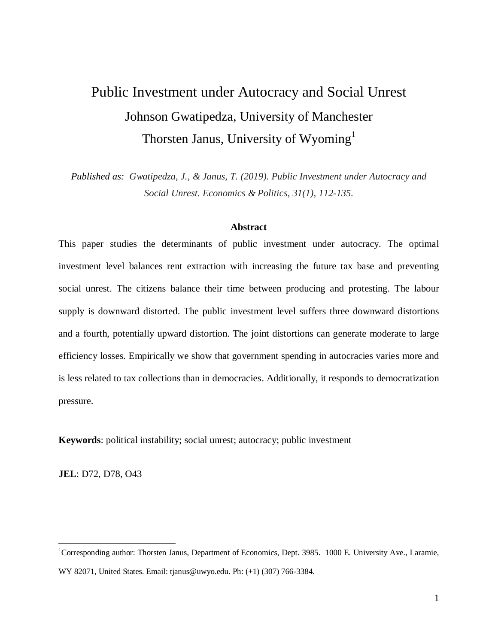# Public Investment under Autocracy and Social Unrest Johnson Gwatipedza, University of Manchester Thorsten Janus, University of Wyoming<sup>1</sup>

*Published as: Gwatipedza, J., & Janus, T. (2019). Public Investment under Autocracy and Social Unrest. Economics & Politics, 31(1), 112-135.*

#### **Abstract**

This paper studies the determinants of public investment under autocracy. The optimal investment level balances rent extraction with increasing the future tax base and preventing social unrest. The citizens balance their time between producing and protesting. The labour supply is downward distorted. The public investment level suffers three downward distortions and a fourth, potentially upward distortion. The joint distortions can generate moderate to large efficiency losses. Empirically we show that government spending in autocracies varies more and is less related to tax collections than in democracies. Additionally, it responds to democratization pressure.

**Keywords**: political instability; social unrest; autocracy; public investment

**JEL**: D72, D78, O43

<sup>&</sup>lt;sup>1</sup>Corresponding author: Thorsten Janus, Department of Economics, Dept. 3985. 1000 E. University Ave., Laramie, WY 82071, United States. Email: tjanus@uwyo.edu. Ph: (+1) (307) 766-3384.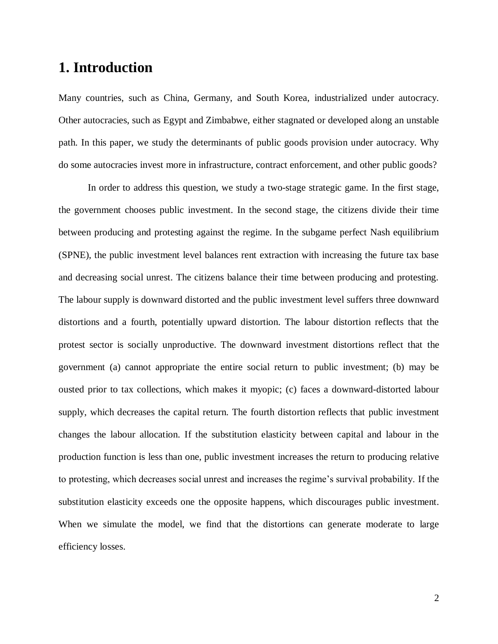# **1. Introduction**

Many countries, such as China, Germany, and South Korea, industrialized under autocracy. Other autocracies, such as Egypt and Zimbabwe, either stagnated or developed along an unstable path. In this paper, we study the determinants of public goods provision under autocracy. Why do some autocracies invest more in infrastructure, contract enforcement, and other public goods?

In order to address this question, we study a two-stage strategic game. In the first stage, the government chooses public investment. In the second stage, the citizens divide their time between producing and protesting against the regime. In the subgame perfect Nash equilibrium (SPNE), the public investment level balances rent extraction with increasing the future tax base and decreasing social unrest. The citizens balance their time between producing and protesting. The labour supply is downward distorted and the public investment level suffers three downward distortions and a fourth, potentially upward distortion. The labour distortion reflects that the protest sector is socially unproductive. The downward investment distortions reflect that the government (a) cannot appropriate the entire social return to public investment; (b) may be ousted prior to tax collections, which makes it myopic; (c) faces a downward-distorted labour supply, which decreases the capital return. The fourth distortion reflects that public investment changes the labour allocation. If the substitution elasticity between capital and labour in the production function is less than one, public investment increases the return to producing relative to protesting, which decreases social unrest and increases the regime's survival probability. If the substitution elasticity exceeds one the opposite happens, which discourages public investment. When we simulate the model, we find that the distortions can generate moderate to large efficiency losses.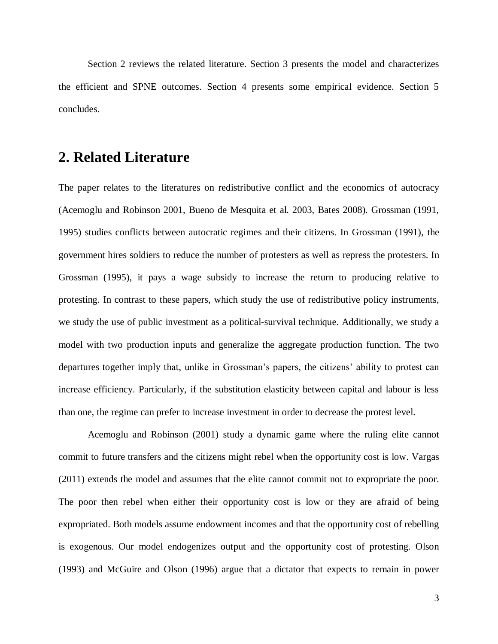Section 2 reviews the related literature. Section 3 presents the model and characterizes the efficient and SPNE outcomes. Section 4 presents some empirical evidence. Section 5 concludes.

# **2. Related Literature**

The paper relates to the literatures on redistributive conflict and the economics of autocracy (Acemoglu and Robinson 2001, Bueno de Mesquita et al. 2003, Bates 2008). Grossman (1991, 1995) studies conflicts between autocratic regimes and their citizens. In Grossman (1991), the government hires soldiers to reduce the number of protesters as well as repress the protesters. In Grossman (1995), it pays a wage subsidy to increase the return to producing relative to protesting. In contrast to these papers, which study the use of redistributive policy instruments, we study the use of public investment as a political-survival technique. Additionally, we study a model with two production inputs and generalize the aggregate production function. The two departures together imply that, unlike in Grossman's papers, the citizens' ability to protest can increase efficiency. Particularly, if the substitution elasticity between capital and labour is less than one, the regime can prefer to increase investment in order to decrease the protest level.

Acemoglu and Robinson (2001) study a dynamic game where the ruling elite cannot commit to future transfers and the citizens might rebel when the opportunity cost is low. Vargas (2011) extends the model and assumes that the elite cannot commit not to expropriate the poor. The poor then rebel when either their opportunity cost is low or they are afraid of being expropriated. Both models assume endowment incomes and that the opportunity cost of rebelling is exogenous. Our model endogenizes output and the opportunity cost of protesting. Olson (1993) and McGuire and Olson (1996) argue that a dictator that expects to remain in power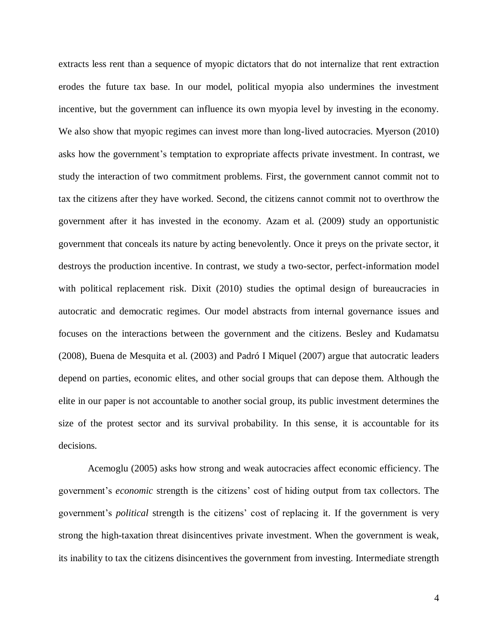extracts less rent than a sequence of myopic dictators that do not internalize that rent extraction erodes the future tax base. In our model, political myopia also undermines the investment incentive, but the government can influence its own myopia level by investing in the economy. We also show that myopic regimes can invest more than long-lived autocracies. Myerson (2010) asks how the government's temptation to expropriate affects private investment. In contrast, we study the interaction of two commitment problems. First, the government cannot commit not to tax the citizens after they have worked. Second, the citizens cannot commit not to overthrow the government after it has invested in the economy. Azam et al. (2009) study an opportunistic government that conceals its nature by acting benevolently. Once it preys on the private sector, it destroys the production incentive. In contrast, we study a two-sector, perfect-information model with political replacement risk. Dixit (2010) studies the optimal design of bureaucracies in autocratic and democratic regimes. Our model abstracts from internal governance issues and focuses on the interactions between the government and the citizens. Besley and Kudamatsu (2008), Buena de Mesquita et al. (2003) and Padró I Miquel (2007) argue that autocratic leaders depend on parties, economic elites, and other social groups that can depose them. Although the elite in our paper is not accountable to another social group, its public investment determines the size of the protest sector and its survival probability. In this sense, it is accountable for its decisions.

Acemoglu (2005) asks how strong and weak autocracies affect economic efficiency. The government's *economic* strength is the citizens' cost of hiding output from tax collectors. The government's *political* strength is the citizens' cost of replacing it. If the government is very strong the high-taxation threat disincentives private investment. When the government is weak, its inability to tax the citizens disincentives the government from investing. Intermediate strength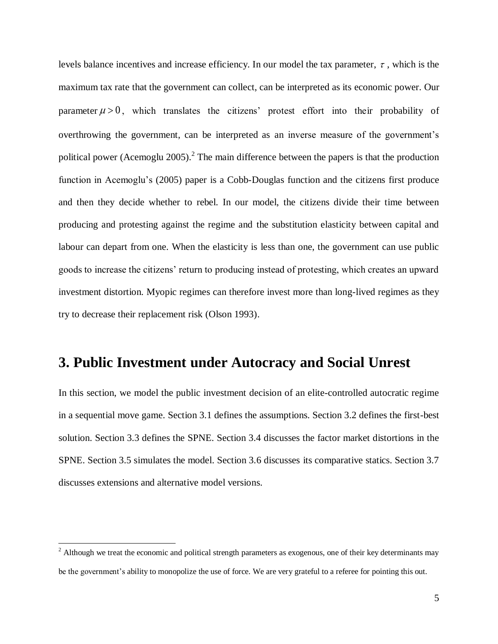levels balance incentives and increase efficiency. In our model the tax parameter,  $\tau$ , which is the maximum tax rate that the government can collect, can be interpreted as its economic power. Our parameter  $\mu > 0$ , which translates the citizens' protest effort into their probability of overthrowing the government, can be interpreted as an inverse measure of the government's political power (Acemoglu 2005).<sup>2</sup> The main difference between the papers is that the production function in Acemoglu's (2005) paper is a Cobb-Douglas function and the citizens first produce and then they decide whether to rebel. In our model, the citizens divide their time between producing and protesting against the regime and the substitution elasticity between capital and labour can depart from one. When the elasticity is less than one, the government can use public goods to increase the citizens' return to producing instead of protesting, which creates an upward investment distortion. Myopic regimes can therefore invest more than long-lived regimes as they try to decrease their replacement risk (Olson 1993).

# **3. Public Investment under Autocracy and Social Unrest**

In this section, we model the public investment decision of an elite-controlled autocratic regime in a sequential move game. Section 3.1 defines the assumptions. Section 3.2 defines the first-best solution. Section 3.3 defines the SPNE. Section 3.4 discusses the factor market distortions in the SPNE. Section 3.5 simulates the model. Section 3.6 discusses its comparative statics. Section 3.7 discusses extensions and alternative model versions.

 $<sup>2</sup>$  Although we treat the economic and political strength parameters as exogenous, one of their key determinants may</sup> be the government's ability to monopolize the use of force. We are very grateful to a referee for pointing this out.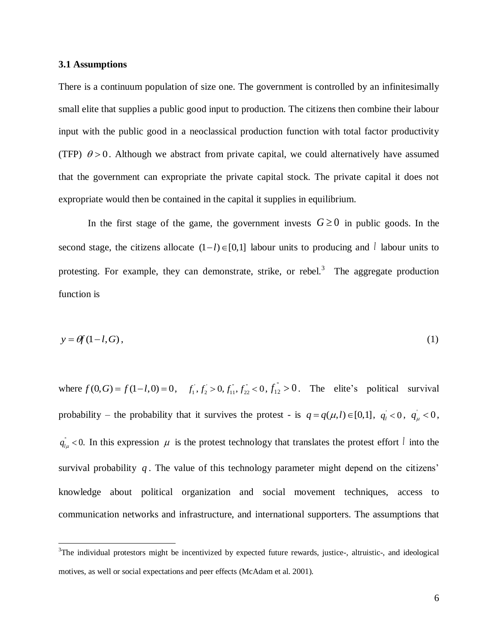#### **3.1 Assumptions**

 $\overline{a}$ 

There is a continuum population of size one. The government is controlled by an infinitesimally small elite that supplies a public good input to production. The citizens then combine their labour input with the public good in a neoclassical production function with total factor productivity (TFP)  $\theta > 0$ . Although we abstract from private capital, we could alternatively have assumed that the government can expropriate the private capital stock. The private capital it does not expropriate would then be contained in the capital it supplies in equilibrium.

In the first stage of the game, the government invests  $G \ge 0$  in public goods. In the second stage, the citizens allocate  $(1-l) \in [0,1]$  labour units to producing and l labour units to protesting. For example, they can demonstrate, strike, or rebel.<sup>3</sup> The aggregate production function is

$$
y = \theta f(1 - l, G),\tag{1}
$$

where  $f(0, G) = f(1-l, 0) = 0$ ,  $f_1, f_2 > 0$ ,  $f_{11}^{\dagger}, f_{22}^{\dagger} < 0$ ,  $f_{12}^{\dagger} > 0$ . The elite's political survival probability – the probability that it survives the protest - is  $q = q(\mu, l) \in [0, 1]$ ,  $q_l < 0$ ,  $q_{\mu} < 0$ ,  $q_{l\mu}$  < 0. In this expression  $\mu$  is the protest technology that translates the protest effort l into the survival probability  $q$ . The value of this technology parameter might depend on the citizens' knowledge about political organization and social movement techniques, access to communication networks and infrastructure, and international supporters. The assumptions that

<sup>&</sup>lt;sup>3</sup>The individual protestors might be incentivized by expected future rewards, justice-, altruistic-, and ideological motives, as well or social expectations and peer effects (McAdam et al. 2001).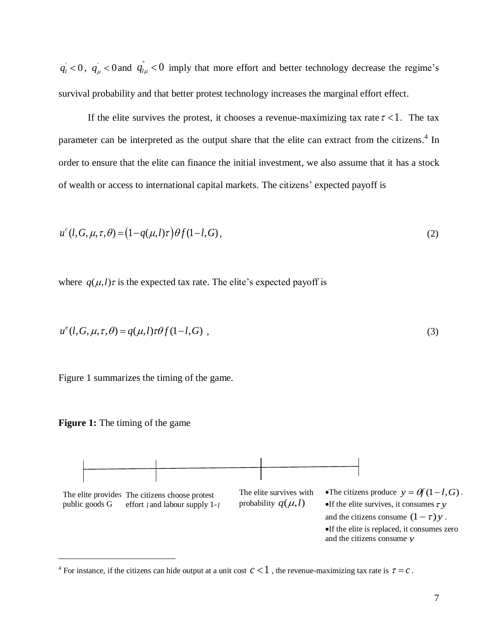$q_i$  < 0,  $q_{\mu}$  < 0 and  $q_{i\mu}$  < 0 imply that more effort and better technology decrease the regime's survival probability and that better protest technology increases the marginal effort effect.

If the elite survives the protest, it chooses a revenue-maximizing tax rate  $\tau < 1$ . The tax parameter can be interpreted as the output share that the elite can extract from the citizens.<sup>4</sup> In order to ensure that the elite can finance the initial investment, we also assume that it has a stock of wealth or access to international capital markets. The citizens' expected payoff is

$$
u^{c}(l, G, \mu, \tau, \theta) = (1 - q(\mu, l)\tau) \theta f(1 - l, G),
$$
\n(2)

where  $q(\mu, l)\tau$  is the expected tax rate. The elite's expected payoff is

$$
u^e(l, G, \mu, \tau, \theta) = q(\mu, l)\tau\theta f(1-l, G) , \qquad (3)
$$

Figure 1 summarizes the timing of the game.





<sup>&</sup>lt;sup>4</sup> For instance, if the citizens can hide output at a unit cost  $c < 1$ , the revenue-maximizing tax rate is  $\tau = c$ .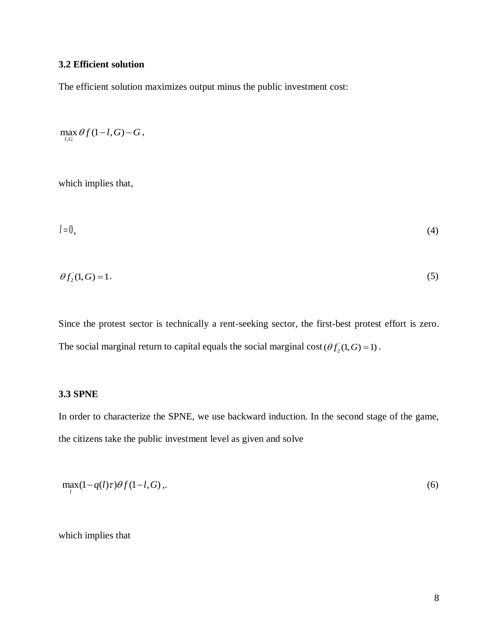## **3.2 Efficient solution**

The efficient solution maximizes output minus the public investment cost:

$$
\max_{l,G}\theta f(1-l,G)-G,
$$

which implies that,

$$
l=0,\tag{4}
$$

$$
\theta f_2(1, G) = 1. \tag{5}
$$

Since the protest sector is technically a rent-seeking sector, the first-best protest effort is zero. The social marginal return to capital equals the social marginal  $cost(\theta f_2(1, G) = 1)$ .

### **3.3 SPNE**

In order to characterize the SPNE, we use backward induction. In the second stage of the game, the citizens take the public investment level as given and solve

$$
\max_{l} (1 - q(l)\tau)\theta f(1 - l, G), \tag{6}
$$

which implies that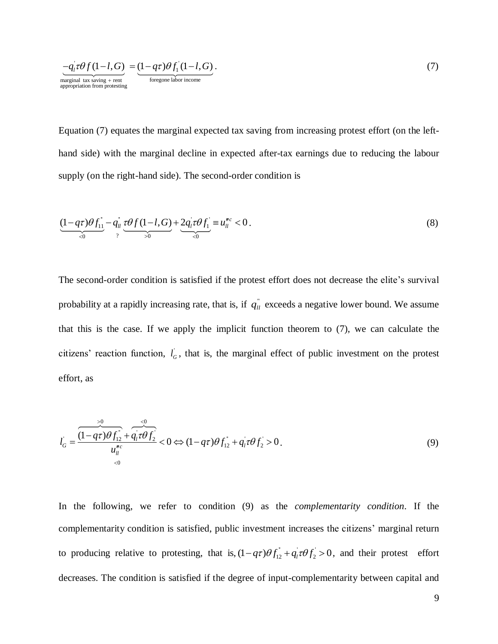$$
\frac{-q_i \tau \theta f (1-l, G)}{\text{marginal tax saving + rent}} = \underbrace{(1-q\tau)\theta f_1 (1-l, G)}_{\text{foregone labor income}}.
$$
\n(7)

Equation (7) equates the marginal expected tax saving from increasing protest effort (on the lefthand side) with the marginal decline in expected after-tax earnings due to reducing the labour supply (on the right-hand side). The second-order condition is

$$
\underbrace{(1-q\tau)\theta f_{11}^{\dagger}}_{0} - q_{1l}^{\dagger} \underbrace{\tau\theta f(1-l,G)}_{2} + \underbrace{2q_{1}^{\dagger}\tau\theta f_{1}^{\dagger}}_{0} = u_{1l}^{nc} < 0.
$$
\n(8)

The second-order condition is satisfied if the protest effort does not decrease the elite's survival probability at a rapidly increasing rate, that is, if  $q_{ll}$ <sup> $\dot{q}$ </sup> exceeds a negative lower bound. We assume that this is the case. If we apply the implicit function theorem to (7), we can calculate the citizens' reaction function,  $l_{\sigma}$ , that is, the marginal effect of public investment on the protest effort, as

$$
l_G' = \frac{\frac{1}{(1 - q\tau)\theta f_{12}^2 + q_1 \tau \theta f_2}}{u_{12}^{nc}} < 0 \Leftrightarrow (1 - q\tau)\theta f_{12}^2 + q_1 \tau \theta f_2 > 0.
$$
\n(9)

In the following, we refer to condition (9) as the *complementarity condition*. If the complementarity condition is satisfied, public investment increases the citizens' marginal return to producing relative to protesting, that is,  $(1 - q\tau)\theta f_{12}^{\dagger} + q_1\tau\theta f_2 > 0$ , and their protest effort decreases. The condition is satisfied if the degree of input-complementarity between capital and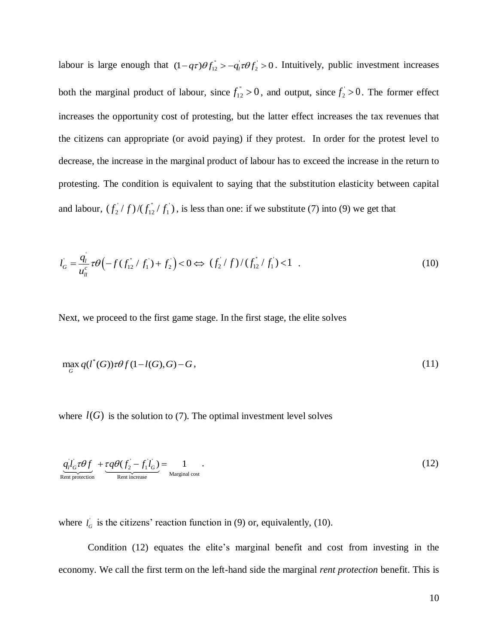labour is large enough that  $(1 - q\tau)\theta f_{12}^{\dagger} > -q_l\tau\theta f_2 > 0$ . Intuitively, public investment increases both the marginal product of labour, since  $f_{12}^{\dagger} > 0$ , and output, since  $f_{2}^{\dagger} > 0$ . The former effect increases the opportunity cost of protesting, but the latter effect increases the tax revenues that the citizens can appropriate (or avoid paying) if they protest. In order for the protest level to decrease, the increase in the marginal product of labour has to exceed the increase in the return to protesting. The condition is equivalent to saying that the substitution elasticity between capital and labour,  $(f_2/f)/(f_{12}^{\dagger}/f_1)$ '' 12  $f_2^{\perp}/f$   $\frac{f_1^{\perp}}{f_1^{\perp}}$   $f_1^{\perp}$   $f_2^{\perp}$  is less than one: if we substitute (7) into (9) we get that

$$
l_G = \frac{q_l}{u_{ll}^c} \tau \theta \left( -f(f_{12}^{\dagger}/f_1) + f_2 \right) < 0 \Leftrightarrow (f_2^{\dagger}/f) / (f_{12}^{\dagger}/f_1) < 1 \quad . \tag{10}
$$

Next, we proceed to the first game stage. In the first stage, the elite solves

$$
\max_{G} q(l^*(G)) \tau \theta f(1-l(G),G) - G, \qquad (11)
$$

where  $l(G)$  is the solution to (7). The optimal investment level solves

$$
\underbrace{q_i l_G^{\dagger} \tau \theta f}_{\text{Rent protection}} + \underbrace{\tau q \theta (f_2^{\dagger} - f_1^{\dagger} l_G^{\dagger})}_{\text{Rent increase}} = \underbrace{1}_{\text{Marginal cost}}.
$$
\n(12)

where  $l_G$  is the citizens' reaction function in (9) or, equivalently, (10).

Condition (12) equates the elite's marginal benefit and cost from investing in the economy. We call the first term on the left-hand side the marginal *rent protection* benefit. This is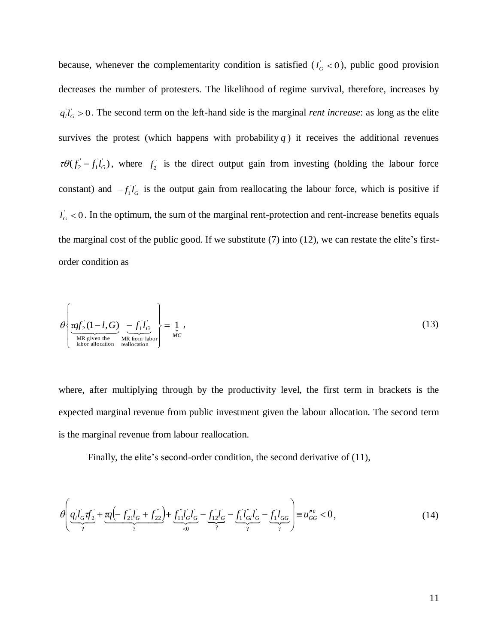because, whenever the complementarity condition is satisfied  $(l<sub>G</sub> < 0)$ , public good provision decreases the number of protesters. The likelihood of regime survival, therefore, increases by  $q_l l_G > 0$ . The second term on the left-hand side is the marginal *rent increase*: as long as the elite survives the protest (which happens with probability  $q$ ) it receives the additional revenues  $\tau \theta(f_2 - f_1 \dot{f}_G)$ , where  $f_2$  is the direct output gain from investing (holding the labour force constant) and  $-f_1 l_G$  is the output gain from reallocating the labour force, which is positive if  $l_G$  < 0. In the optimum, the sum of the marginal rent-protection and rent-increase benefits equals the marginal cost of the public good. If we substitute (7) into (12), we can restate the elite's firstorder condition as

$$
\theta \left\{ \underbrace{\text{raf}_2(1-l,G)}_{\text{MR given the}} \underbrace{-f_1' l_G}_{\text{MR from labor}} \right\} = \underbrace{1}_{MC},
$$
\n(13)

where, after multiplying through by the productivity level, the first term in brackets is the expected marginal revenue from public investment given the labour allocation. The second term is the marginal revenue from labour reallocation.

Finally, the elite's second-order condition, the second derivative of (11),

$$
\theta \left( \underbrace{q_i l_G^{\prime} \mathbf{f}_2}_{\gamma} + \underbrace{\mathbf{r} q \left( - f_{21}^{\prime \prime} l_G^{\prime} + f_{22}^{\prime \prime} \right)}_{\gamma} + \underbrace{f_{11}^{\prime \prime} l_G^{\prime} l_G^{\prime}}_{\leq 0} - \underbrace{f_{12}^{\prime \prime} l_G^{\prime}}_{\gamma} - \underbrace{f_{11}^{\prime \prime} l_{G}}_{\gamma} - \underbrace{f_{11}^{\prime \prime} l_{GG}}_{\gamma} \right) = u_{GG}^{\prime \prime e} < 0, \tag{14}
$$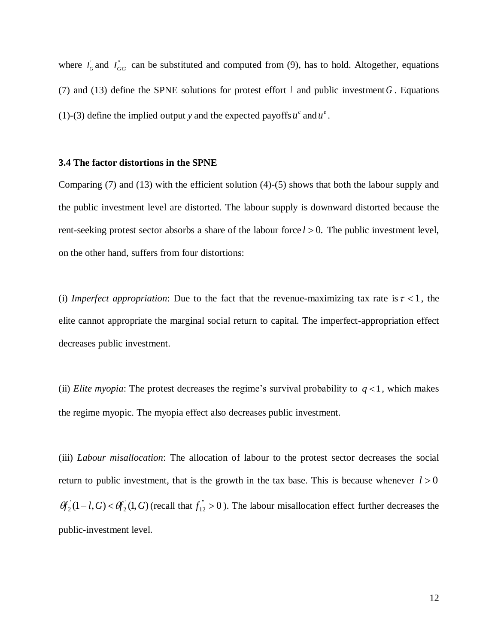where  $l_G$  and  $l_{GG}$  can be substituted and computed from (9), has to hold. Altogether, equations (7) and (13) define the SPNE solutions for protest effort  $l$  and public investment  $G$ . Equations (1)-(3) define the implied output y and the expected payoffs  $u^c$  and  $u^e$ .

### **3.4 The factor distortions in the SPNE**

Comparing (7) and (13) with the efficient solution (4)-(5) shows that both the labour supply and the public investment level are distorted. The labour supply is downward distorted because the rent-seeking protest sector absorbs a share of the labour force  $l > 0$ . The public investment level, on the other hand, suffers from four distortions:

(i) *Imperfect appropriation*: Due to the fact that the revenue-maximizing tax rate is  $\tau < 1$ , the elite cannot appropriate the marginal social return to capital. The imperfect-appropriation effect decreases public investment.

(ii) *Elite myopia*: The protest decreases the regime's survival probability to  $q < 1$ , which makes the regime myopic. The myopia effect also decreases public investment.

(iii) *Labour misallocation*: The allocation of labour to the protest sector decreases the social return to public investment, that is the growth in the tax base. This is because whenever  $l > 0$  $(1-l, G) < \theta_2(1, G)$  $\theta f_2(1-l,G) < \theta f_2(1,G)$  (recall that  $f_1^{\dagger} > 0$ ). The labour misallocation effect further decreases the public-investment level.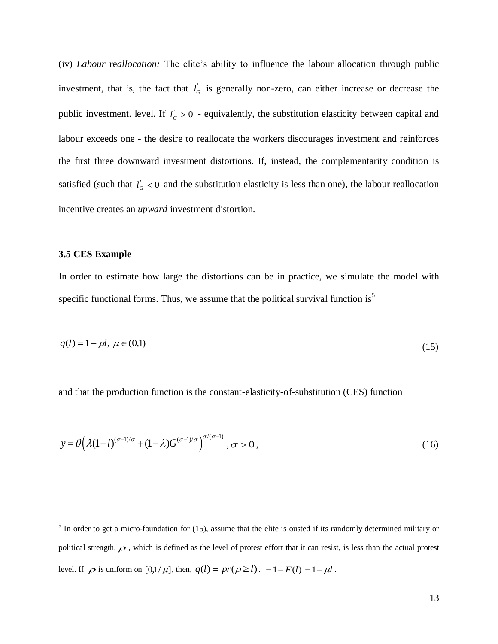(iv) *Labour* re*allocation:* The elite's ability to influence the labour allocation through public investment, that is, the fact that  $l_G$  is generally non-zero, can either increase or decrease the public investment. level. If  $l_G > 0$  - equivalently, the substitution elasticity between capital and labour exceeds one - the desire to reallocate the workers discourages investment and reinforces the first three downward investment distortions. If, instead, the complementarity condition is satisfied (such that  $l_G < 0$  and the substitution elasticity is less than one), the labour reallocation incentive creates an *upward* investment distortion.

#### **3.5 CES Example**

In order to estimate how large the distortions can be in practice, we simulate the model with specific functional forms. Thus, we assume that the political survival function is<sup>5</sup>

$$
q(l) = 1 - \mu l, \ \mu \in (0,1) \tag{15}
$$

and that the production function is the constant-elasticity-of-substitution (CES) function

$$
y = \theta \left( \lambda (1 - l)^{(\sigma - 1)/\sigma} + (1 - \lambda) G^{(\sigma - 1)/\sigma} \right)^{\sigma/(\sigma - 1)}, \sigma > 0,
$$
\n(16)

<sup>&</sup>lt;sup>5</sup> In order to get a micro-foundation for (15), assume that the elite is ousted if its randomly determined military or political strength,  $\rho$ , which is defined as the level of protest effort that it can resist, is less than the actual protest level. If  $\rho$  is uniform on  $[0,1/\mu]$ , then,  $q(l) = pr(\rho \ge l)$ .  $= 1 - F(l) = 1 - \mu l$ .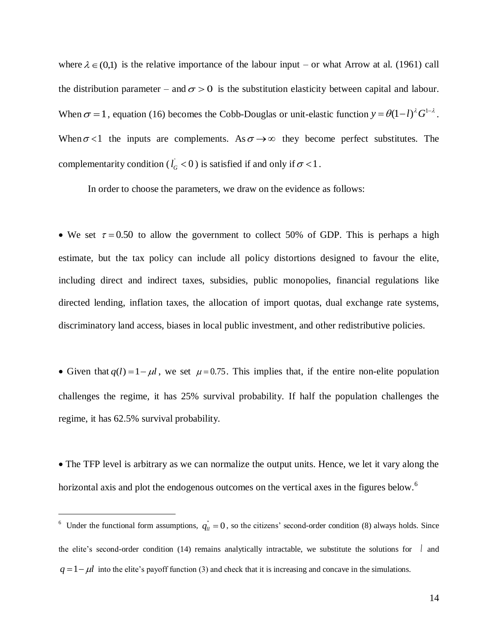where  $\lambda \in (0,1)$  is the relative importance of the labour input – or what Arrow at al. (1961) call the distribution parameter – and  $\sigma > 0$  is the substitution elasticity between capital and labour. When  $\sigma = 1$ , equation (16) becomes the Cobb-Douglas or unit-elastic function  $y = \theta(1-l)^{\lambda} G^{1-\lambda}$ . When  $\sigma$ <1 the inputs are complements. As  $\sigma \rightarrow \infty$  they become perfect substitutes. The complementarity condition ( $l_G^+$  < 0) is satisfied if and only if  $\sigma$  < 1.

In order to choose the parameters, we draw on the evidence as follows:

• We set  $\tau = 0.50$  to allow the government to collect 50% of GDP. This is perhaps a high estimate, but the tax policy can include all policy distortions designed to favour the elite, including direct and indirect taxes, subsidies, public monopolies, financial regulations like directed lending, inflation taxes, the allocation of import quotas, dual exchange rate systems, discriminatory land access, biases in local public investment, and other redistributive policies.

• Given that  $q(l) = 1 - \mu l$ , we set  $\mu = 0.75$ . This implies that, if the entire non-elite population challenges the regime, it has 25% survival probability. If half the population challenges the regime, it has 62.5% survival probability.

 The TFP level is arbitrary as we can normalize the output units. Hence, we let it vary along the horizontal axis and plot the endogenous outcomes on the vertical axes in the figures below.<sup>6</sup>

<sup>&</sup>lt;sup>6</sup> Under the functional form assumptions,  $q_{ll}^{\dagger} = 0$ , so the citizens' second-order condition (8) always holds. Since the elite's second-order condition (14) remains analytically intractable, we substitute the solutions for *l* and  $q = 1 - \mu l$  into the elite's payoff function (3) and check that it is increasing and concave in the simulations.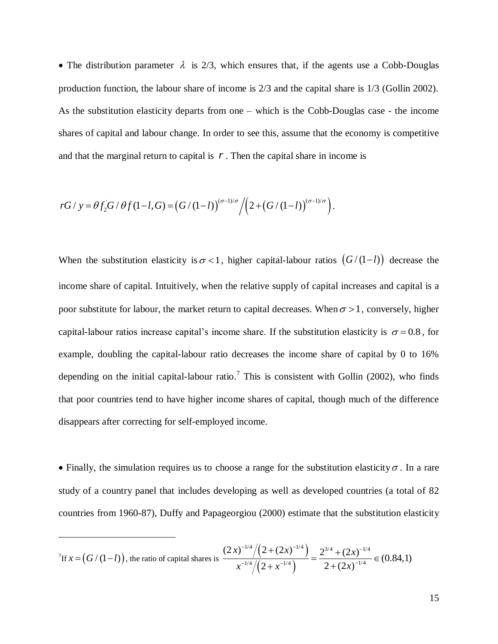• The distribution parameter  $\lambda$  is 2/3, which ensures that, if the agents use a Cobb-Douglas production function, the labour share of income is 2/3 and the capital share is 1/3 (Gollin 2002). As the substitution elasticity departs from one – which is the Cobb-Douglas case - the income shares of capital and labour change. In order to see this, assume that the economy is competitive and that the marginal return to capital is *. Then the capital share in income is* 

rG / y = 
$$
\theta f_2 G / \theta f (1-l, G) = (G/(1-l))^{(\sigma-l)/\sigma} / (2+(G/(1-l))^{(\sigma-l)/\sigma}).
$$

When the substitution elasticity is  $\sigma < 1$ , higher capital-labour ratios  $(G/(1-l))$  decrease the income share of capital. Intuitively, when the relative supply of capital increases and capital is a poor substitute for labour, the market return to capital decreases. When  $\sigma > 1$ , conversely, higher capital-labour ratios increase capital's income share. If the substitution elasticity is  $\sigma = 0.8$ , for example, doubling the capital-labour ratio decreases the income share of capital by 0 to 16% depending on the initial capital-labour ratio.<sup>7</sup> This is consistent with Gollin (2002), who finds that poor countries tend to have higher income shares of capital, though much of the difference disappears after correcting for self-employed income.

• Finally, the simulation requires us to choose a range for the substitution elasticity  $\sigma$ . In a rare study of a country panel that includes developing as well as developed countries (a total of 82 countries from 1960-87), Duffy and Papageorgiou (2000) estimate that the substitution elasticity

$$
\frac{1}{\int \ln x \, dx = \left( G/(1-l) \right), \text{ the ratio of capital shares is } \frac{(2x)^{-1/4} / \left( 2 + (2x)^{-1/4} \right)}{x^{-1/4} / \left( 2 + x^{-1/4} \right)} = \frac{2^{3/4} + (2x)^{-1/4}}{2 + (2x)^{-1/4}} \in (0.84, 1)
$$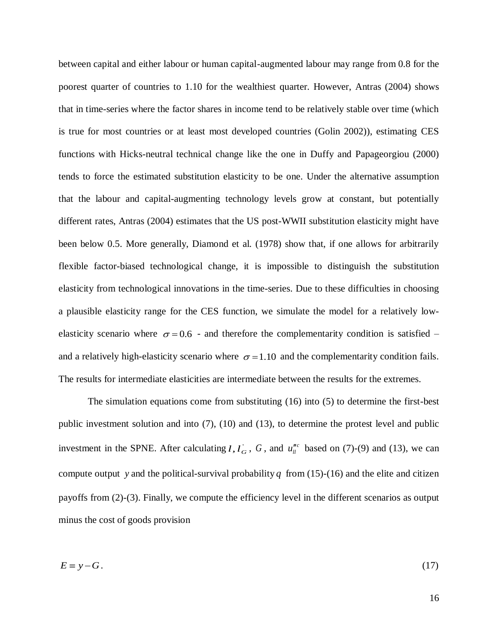between capital and either labour or human capital-augmented labour may range from 0.8 for the poorest quarter of countries to 1.10 for the wealthiest quarter. However, Antras (2004) shows that in time-series where the factor shares in income tend to be relatively stable over time (which is true for most countries or at least most developed countries (Golin 2002)), estimating CES functions with Hicks-neutral technical change like the one in Duffy and Papageorgiou (2000) tends to force the estimated substitution elasticity to be one. Under the alternative assumption that the labour and capital-augmenting technology levels grow at constant, but potentially different rates, Antras (2004) estimates that the US post-WWII substitution elasticity might have been below 0.5. More generally, Diamond et al. (1978) show that, if one allows for arbitrarily flexible factor-biased technological change, it is impossible to distinguish the substitution elasticity from technological innovations in the time-series. Due to these difficulties in choosing a plausible elasticity range for the CES function, we simulate the model for a relatively lowelasticity scenario where  $\sigma = 0.6$  - and therefore the complementarity condition is satisfied – and a relatively high-elasticity scenario where  $\sigma = 1.10$  and the complementarity condition fails. The results for intermediate elasticities are intermediate between the results for the extremes.

The simulation equations come from substituting (16) into (5) to determine the first-best public investment solution and into (7), (10) and (13), to determine the protest level and public investment in the SPNE. After calculating *l*,  $l_G$ , *G*, and  $u_l^{nc}$  based on (7)-(9) and (13), we can compute output y and the political-survival probability q from  $(15)-(16)$  and the elite and citizen payoffs from (2)-(3). Finally, we compute the efficiency level in the different scenarios as output minus the cost of goods provision

$$
E \equiv y - G. \tag{17}
$$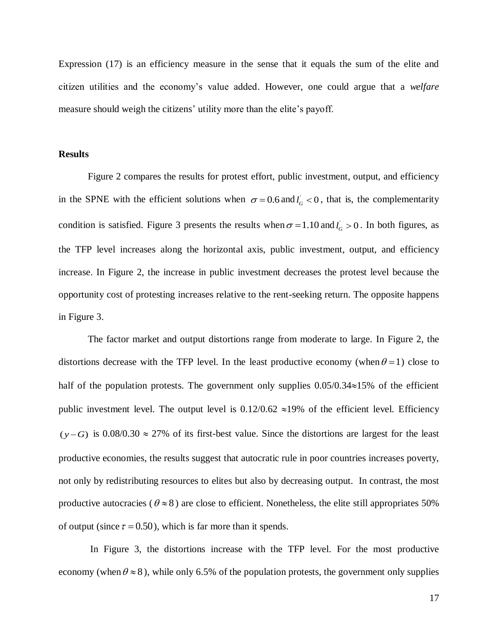Expression (17) is an efficiency measure in the sense that it equals the sum of the elite and citizen utilities and the economy's value added. However, one could argue that a *welfare* measure should weigh the citizens' utility more than the elite's payoff.

### **Results**

Figure 2 compares the results for protest effort, public investment, output, and efficiency in the SPNE with the efficient solutions when  $\sigma = 0.6$  and  $l_G < 0$ , that is, the complementarity condition is satisfied. Figure 3 presents the results when  $\sigma = 1.10$  and  $l_G > 0$ . In both figures, as the TFP level increases along the horizontal axis, public investment, output, and efficiency increase. In Figure 2, the increase in public investment decreases the protest level because the opportunity cost of protesting increases relative to the rent-seeking return. The opposite happens in Figure 3.

The factor market and output distortions range from moderate to large. In Figure 2, the distortions decrease with the TFP level. In the least productive economy (when  $\theta = 1$ ) close to half of the population protests. The government only supplies  $0.05/0.34 \approx 15\%$  of the efficient public investment level. The output level is  $0.12/0.62 \approx 19\%$  of the efficient level. Efficiency  $(y - G)$  is 0.08/0.30  $\approx$  27% of its first-best value. Since the distortions are largest for the least productive economies, the results suggest that autocratic rule in poor countries increases poverty, not only by redistributing resources to elites but also by decreasing output. In contrast, the most productive autocracies ( $\theta \approx 8$ ) are close to efficient. Nonetheless, the elite still appropriates 50% of output (since  $\tau = 0.50$ ), which is far more than it spends.

In Figure 3, the distortions increase with the TFP level. For the most productive economy (when  $\theta \approx 8$ ), while only 6.5% of the population protests, the government only supplies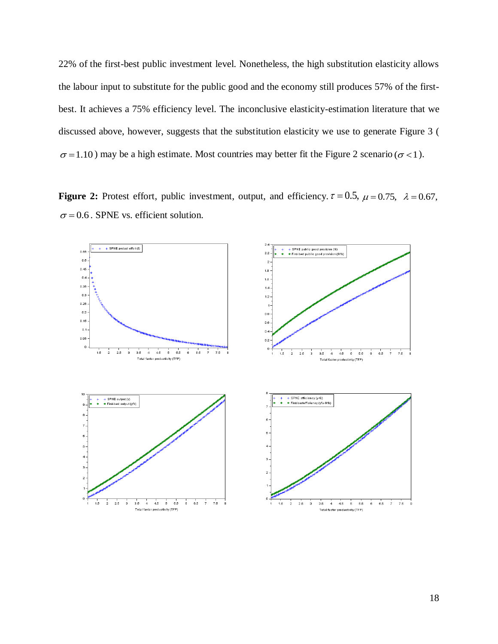22% of the first-best public investment level. Nonetheless, the high substitution elasticity allows the labour input to substitute for the public good and the economy still produces 57% of the firstbest. It achieves a 75% efficiency level. The inconclusive elasticity-estimation literature that we discussed above, however, suggests that the substitution elasticity we use to generate Figure 3 (  $\sigma$ =1.10) may be a high estimate. Most countries may better fit the Figure 2 scenario ( $\sigma$ <1).

**Figure 2:** Protest effort, public investment, output, and efficiency.  $\tau = 0.5$ ,  $\mu = 0.75$ ,  $\lambda = 0.67$ ,  $\sigma$  = 0.6. SPNE vs. efficient solution.

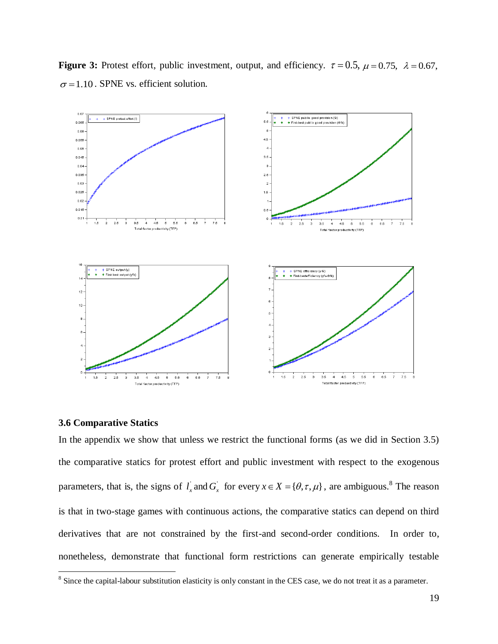**Figure 3:** Protest effort, public investment, output, and efficiency.  $\tau = 0.5$ ,  $\mu = 0.75$ ,  $\lambda = 0.67$ ,  $\sigma$ =1.10. SPNE vs. efficient solution.



#### **3.6 Comparative Statics**

In the appendix we show that unless we restrict the functional forms (as we did in Section 3.5) the comparative statics for protest effort and public investment with respect to the exogenous parameters, that is, the signs of  $l_x$  and  $G_x$  for every  $x \in X = {\theta, \tau, \mu}$ , are ambiguous.<sup>8</sup> The reason is that in two-stage games with continuous actions, the comparative statics can depend on third derivatives that are not constrained by the first-and second-order conditions. In order to, nonetheless, demonstrate that functional form restrictions can generate empirically testable

<sup>&</sup>lt;sup>8</sup> Since the capital-labour substitution elasticity is only constant in the CES case, we do not treat it as a parameter.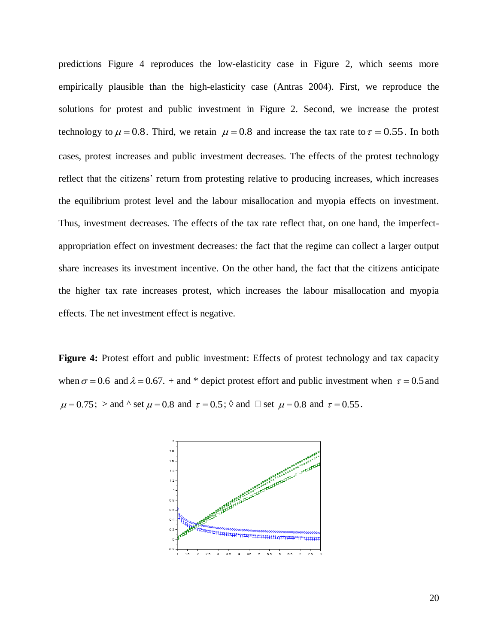predictions Figure 4 reproduces the low-elasticity case in Figure 2, which seems more empirically plausible than the high-elasticity case (Antras 2004). First, we reproduce the solutions for protest and public investment in Figure 2. Second, we increase the protest technology to  $\mu = 0.8$ . Third, we retain  $\mu = 0.8$  and increase the tax rate to  $\tau = 0.55$ . In both cases, protest increases and public investment decreases. The effects of the protest technology reflect that the citizens' return from protesting relative to producing increases, which increases the equilibrium protest level and the labour misallocation and myopia effects on investment. Thus, investment decreases. The effects of the tax rate reflect that, on one hand, the imperfectappropriation effect on investment decreases: the fact that the regime can collect a larger output share increases its investment incentive. On the other hand, the fact that the citizens anticipate the higher tax rate increases protest, which increases the labour misallocation and myopia effects. The net investment effect is negative.

**Figure 4:** Protest effort and public investment: Effects of protest technology and tax capacity when  $\sigma$  = 0.6 and  $\lambda$  = 0.67. + and \* depict protest effort and public investment when  $\tau$  = 0.5 and  $\mu$  = 0.75; > and ^ set  $\mu$  = 0.8 and  $\tau$  = 0.5;  $\Diamond$  and  $\Box$  set  $\mu$  = 0.8 and  $\tau$  = 0.55.

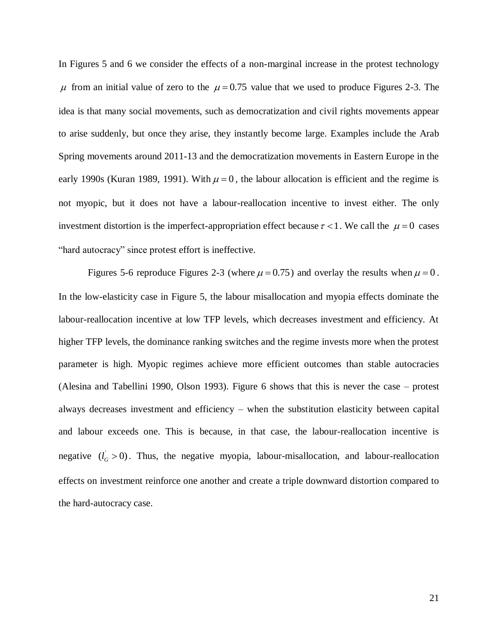In Figures 5 and 6 we consider the effects of a non-marginal increase in the protest technology  $\mu$  from an initial value of zero to the  $\mu$  = 0.75 value that we used to produce Figures 2-3. The idea is that many social movements, such as democratization and civil rights movements appear to arise suddenly, but once they arise, they instantly become large. Examples include the Arab Spring movements around 2011-13 and the democratization movements in Eastern Europe in the early 1990s (Kuran 1989, 1991). With  $\mu = 0$ , the labour allocation is efficient and the regime is not myopic, but it does not have a labour-reallocation incentive to invest either. The only investment distortion is the imperfect-appropriation effect because  $\tau < 1$ . We call the  $\mu = 0$  cases "hard autocracy" since protest effort is ineffective.

Figures 5-6 reproduce Figures 2-3 (where  $\mu = 0.75$ ) and overlay the results when  $\mu = 0$ . In the low-elasticity case in Figure 5, the labour misallocation and myopia effects dominate the labour-reallocation incentive at low TFP levels, which decreases investment and efficiency. At higher TFP levels, the dominance ranking switches and the regime invests more when the protest parameter is high. Myopic regimes achieve more efficient outcomes than stable autocracies (Alesina and Tabellini 1990, Olson 1993). Figure 6 shows that this is never the case – protest always decreases investment and efficiency – when the substitution elasticity between capital and labour exceeds one. This is because, in that case, the labour-reallocation incentive is negative  $(l<sub>G</sub> > 0)$ . Thus, the negative myopia, labour-misallocation, and labour-reallocation effects on investment reinforce one another and create a triple downward distortion compared to the hard-autocracy case.

21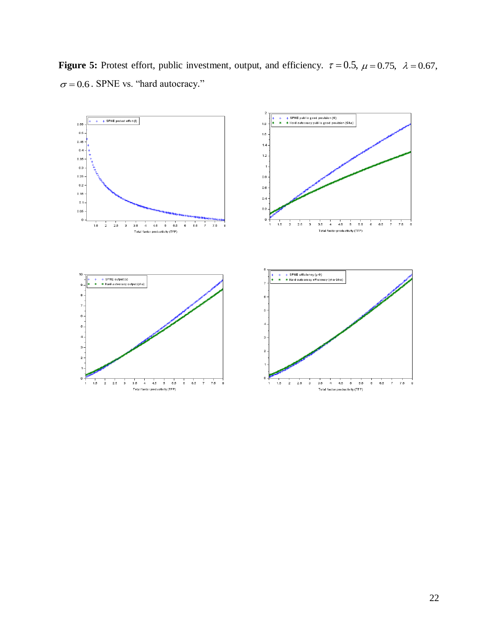**Figure 5:** Protest effort, public investment, output, and efficiency.  $\tau = 0.5$ ,  $\mu = 0.75$ ,  $\lambda = 0.67$ ,  $\sigma$  = 0.6. SPNE vs. "hard autocracy."

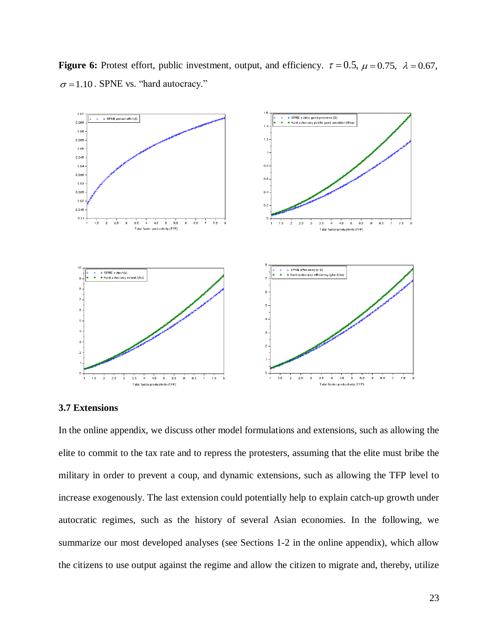



### **3.7 Extensions**

In the online appendix, we discuss other model formulations and extensions, such as allowing the elite to commit to the tax rate and to repress the protesters, assuming that the elite must bribe the military in order to prevent a coup, and dynamic extensions, such as allowing the TFP level to increase exogenously. The last extension could potentially help to explain catch-up growth under autocratic regimes, such as the history of several Asian economies. In the following, we summarize our most developed analyses (see Sections 1-2 in the online appendix), which allow the citizens to use output against the regime and allow the citizen to migrate and, thereby, utilize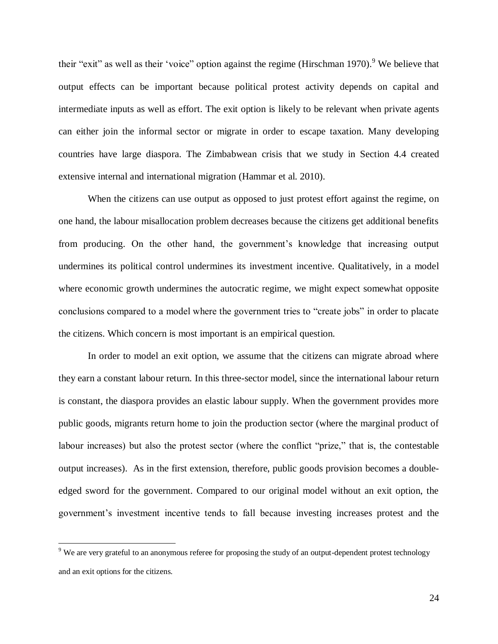their "exit" as well as their 'voice" option against the regime (Hirschman 1970). <sup>9</sup> We believe that output effects can be important because political protest activity depends on capital and intermediate inputs as well as effort. The exit option is likely to be relevant when private agents can either join the informal sector or migrate in order to escape taxation. Many developing countries have large diaspora. The Zimbabwean crisis that we study in Section 4.4 created extensive internal and international migration (Hammar et al. 2010).

When the citizens can use output as opposed to just protest effort against the regime, on one hand, the labour misallocation problem decreases because the citizens get additional benefits from producing. On the other hand, the government's knowledge that increasing output undermines its political control undermines its investment incentive. Qualitatively, in a model where economic growth undermines the autocratic regime, we might expect somewhat opposite conclusions compared to a model where the government tries to "create jobs" in order to placate the citizens. Which concern is most important is an empirical question.

In order to model an exit option, we assume that the citizens can migrate abroad where they earn a constant labour return. In this three-sector model, since the international labour return is constant, the diaspora provides an elastic labour supply. When the government provides more public goods, migrants return home to join the production sector (where the marginal product of labour increases) but also the protest sector (where the conflict "prize," that is, the contestable output increases). As in the first extension, therefore, public goods provision becomes a doubleedged sword for the government. Compared to our original model without an exit option, the government's investment incentive tends to fall because investing increases protest and the

 $9$  We are very grateful to an anonymous referee for proposing the study of an output-dependent protest technology and an exit options for the citizens.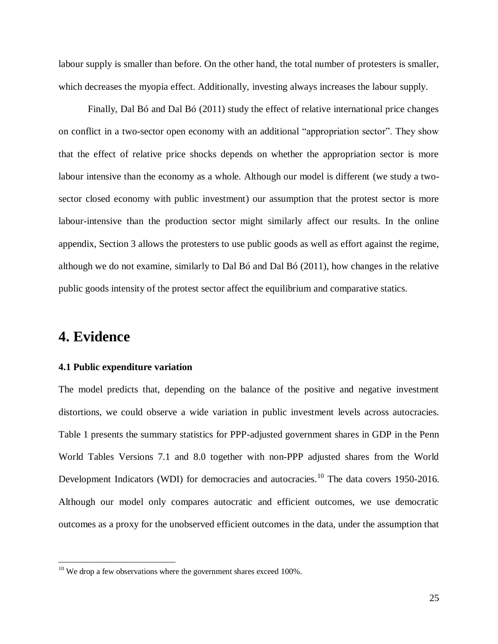labour supply is smaller than before. On the other hand, the total number of protesters is smaller, which decreases the myopia effect. Additionally, investing always increases the labour supply.

Finally, Dal Bó and Dal Bó (2011) study the effect of relative international price changes on conflict in a two-sector open economy with an additional "appropriation sector". They show that the effect of relative price shocks depends on whether the appropriation sector is more labour intensive than the economy as a whole. Although our model is different (we study a twosector closed economy with public investment) our assumption that the protest sector is more labour-intensive than the production sector might similarly affect our results. In the online appendix, Section 3 allows the protesters to use public goods as well as effort against the regime, although we do not examine, similarly to Dal Bó and Dal Bó (2011), how changes in the relative public goods intensity of the protest sector affect the equilibrium and comparative statics.

# **4. Evidence**

 $\overline{a}$ 

### **4.1 Public expenditure variation**

The model predicts that, depending on the balance of the positive and negative investment distortions, we could observe a wide variation in public investment levels across autocracies. Table 1 presents the summary statistics for PPP-adjusted government shares in GDP in the Penn World Tables Versions 7.1 and 8.0 together with non-PPP adjusted shares from the World Development Indicators (WDI) for democracies and autocracies.<sup>10</sup> The data covers 1950-2016. Although our model only compares autocratic and efficient outcomes, we use democratic outcomes as a proxy for the unobserved efficient outcomes in the data, under the assumption that

 $10$  We drop a few observations where the government shares exceed 100%.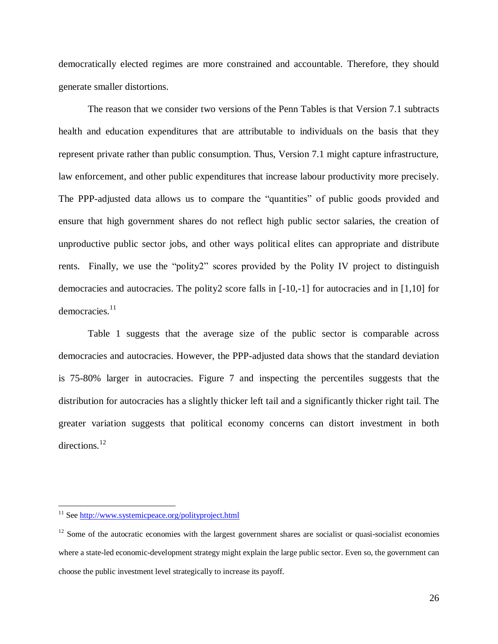democratically elected regimes are more constrained and accountable. Therefore, they should generate smaller distortions.

The reason that we consider two versions of the Penn Tables is that Version 7.1 subtracts health and education expenditures that are attributable to individuals on the basis that they represent private rather than public consumption. Thus, Version 7.1 might capture infrastructure, law enforcement, and other public expenditures that increase labour productivity more precisely. The PPP-adjusted data allows us to compare the "quantities" of public goods provided and ensure that high government shares do not reflect high public sector salaries, the creation of unproductive public sector jobs, and other ways political elites can appropriate and distribute rents. Finally, we use the "polity2" scores provided by the Polity IV project to distinguish democracies and autocracies. The polity2 score falls in [-10,-1] for autocracies and in [1,10] for democracies.<sup>11</sup>

Table 1 suggests that the average size of the public sector is comparable across democracies and autocracies. However, the PPP-adjusted data shows that the standard deviation is 75-80% larger in autocracies. Figure 7 and inspecting the percentiles suggests that the distribution for autocracies has a slightly thicker left tail and a significantly thicker right tail. The greater variation suggests that political economy concerns can distort investment in both directions.<sup>12</sup>

<sup>&</sup>lt;sup>11</sup> See<http://www.systemicpeace.org/polityproject.html>

 $12$  Some of the autocratic economies with the largest government shares are socialist or quasi-socialist economies where a state-led economic-development strategy might explain the large public sector. Even so, the government can choose the public investment level strategically to increase its payoff.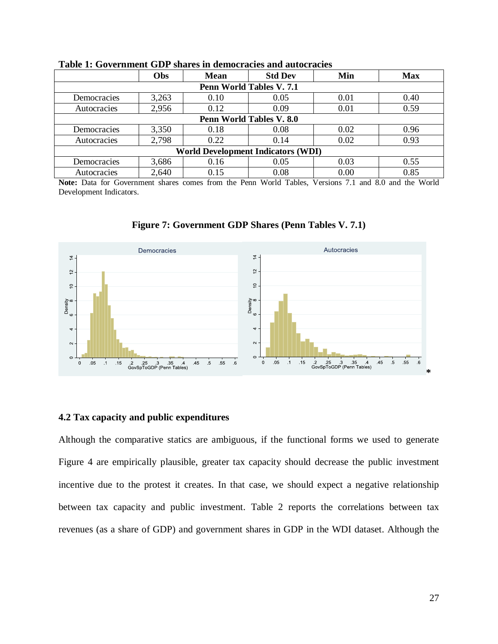|                                           | Obs                      | <b>Mean</b> | <b>Std Dev</b>           | Min  | <b>Max</b> |  |
|-------------------------------------------|--------------------------|-------------|--------------------------|------|------------|--|
|                                           |                          |             | Penn World Tables V. 7.1 |      |            |  |
| Democracies                               | 3,263                    | 0.10        | 0.05                     | 0.01 | 0.40       |  |
| Autocracies                               | 2,956                    | 0.12        | 0.09                     | 0.01 | 0.59       |  |
|                                           | Penn World Tables V. 8.0 |             |                          |      |            |  |
| Democracies                               | 3,350                    | 0.18        | 0.08                     | 0.02 | 0.96       |  |
| Autocracies                               | 2,798                    | 0.22        | 0.14                     | 0.02 | 0.93       |  |
| <b>World Development Indicators (WDI)</b> |                          |             |                          |      |            |  |
| <b>Democracies</b>                        | 3,686                    | 0.16        | 0.05                     | 0.03 | 0.55       |  |
| Autocracies                               | 2,640                    | 0.15        | 0.08                     | 0.00 | 0.85       |  |

**Table 1: Government GDP shares in democracies and autocracies**

**Note:** Data for Government shares comes from the Penn World Tables, Versions 7.1 and 8.0 and the World Development Indicators.



### **Figure 7: Government GDP Shares (Penn Tables V. 7.1)**

### **4.2 Tax capacity and public expenditures**

Although the comparative statics are ambiguous, if the functional forms we used to generate Figure 4 are empirically plausible, greater tax capacity should decrease the public investment incentive due to the protest it creates. In that case, we should expect a negative relationship between tax capacity and public investment. Table 2 reports the correlations between tax revenues (as a share of GDP) and government shares in GDP in the WDI dataset. Although the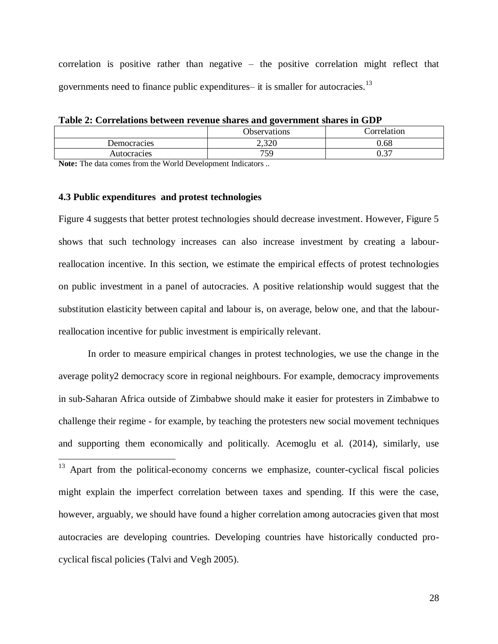correlation is positive rather than negative – the positive correlation might reflect that governments need to finance public expenditures– it is smaller for autocracies.<sup>13</sup>

**Table 2: Correlations between revenue shares and government shares in GDP** 

|                  | <b>Observations</b> | Correlation |
|------------------|---------------------|-------------|
| Democracies      | ว ววก<br>2.520      | 0.68        |
| Autocracies      | 759                 | በ 27<br>v.J |
| ____ _ _ _<br>__ | $ -$                |             |

**Note:** The data comes from the World Development Indicators ..

#### **4.3 Public expenditures and protest technologies**

 $\overline{a}$ 

Figure 4 suggests that better protest technologies should decrease investment. However, Figure 5 shows that such technology increases can also increase investment by creating a labourreallocation incentive. In this section, we estimate the empirical effects of protest technologies on public investment in a panel of autocracies. A positive relationship would suggest that the substitution elasticity between capital and labour is, on average, below one, and that the labourreallocation incentive for public investment is empirically relevant.

In order to measure empirical changes in protest technologies, we use the change in the average polity2 democracy score in regional neighbours. For example, democracy improvements in sub-Saharan Africa outside of Zimbabwe should make it easier for protesters in Zimbabwe to challenge their regime - for example, by teaching the protesters new social movement techniques and supporting them economically and politically. Acemoglu et al. (2014), similarly, use

 $13$  Apart from the political-economy concerns we emphasize, counter-cyclical fiscal policies might explain the imperfect correlation between taxes and spending. If this were the case, however, arguably, we should have found a higher correlation among autocracies given that most autocracies are developing countries. Developing countries have historically conducted procyclical fiscal policies (Talvi and Vegh 2005).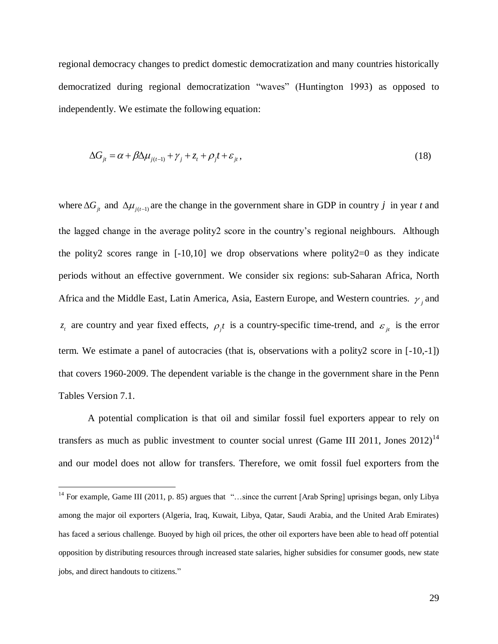regional democracy changes to predict domestic democratization and many countries historically democratized during regional democratization "waves" (Huntington 1993) as opposed to independently. We estimate the following equation:

$$
\Delta G_{jt} = \alpha + \beta \Delta \mu_{j(t-1)} + \gamma_j + z_t + \rho_j t + \varepsilon_{jt},
$$
\n(18)

where  $\Delta G_{jt}$  and  $\Delta \mu_{j(t-1)}$  are the change in the government share in GDP in country *j* in year *t* and the lagged change in the average polity2 score in the country's regional neighbours. Although the polity2 scores range in  $[-10,10]$  we drop observations where polity2=0 as they indicate periods without an effective government. We consider six regions: sub-Saharan Africa, North Africa and the Middle East, Latin America, Asia, Eastern Europe, and Western countries.  $\gamma$ <sub>j</sub> and  $z_t$  are country and year fixed effects,  $\rho_i t$  is a country-specific time-trend, and  $\varepsilon_{jt}$  is the error term. We estimate a panel of autocracies (that is, observations with a polity2 score in [-10,-1]) that covers 1960-2009. The dependent variable is the change in the government share in the Penn Tables Version 7.1.

A potential complication is that oil and similar fossil fuel exporters appear to rely on transfers as much as public investment to counter social unrest (Game III 2011, Jones  $2012$ )<sup>14</sup> and our model does not allow for transfers. Therefore, we omit fossil fuel exporters from the

<sup>&</sup>lt;sup>14</sup> For example, Game III (2011, p. 85) argues that "...since the current [Arab Spring] uprisings began, only Libya among the major oil exporters (Algeria, Iraq, Kuwait, Libya, Qatar, Saudi Arabia, and the United Arab Emirates) has faced a serious challenge. Buoyed by high oil prices, the other oil exporters have been able to head off potential opposition by distributing resources through increased state salaries, higher subsidies for consumer goods, new state jobs, and direct handouts to citizens."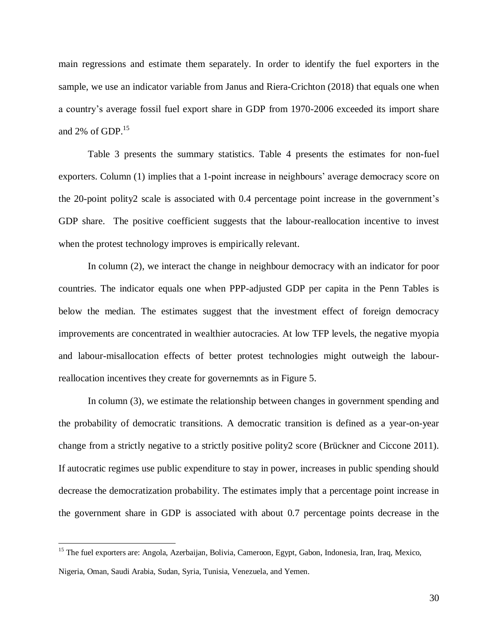main regressions and estimate them separately. In order to identify the fuel exporters in the sample, we use an indicator variable from Janus and Riera-Crichton (2018) that equals one when a country's average fossil fuel export share in GDP from 1970-2006 exceeded its import share and 2% of GDP. $^{15}$ 

Table 3 presents the summary statistics. Table 4 presents the estimates for non-fuel exporters. Column (1) implies that a 1-point increase in neighbours' average democracy score on the 20-point polity2 scale is associated with 0.4 percentage point increase in the government's GDP share. The positive coefficient suggests that the labour-reallocation incentive to invest when the protest technology improves is empirically relevant.

In column (2), we interact the change in neighbour democracy with an indicator for poor countries. The indicator equals one when PPP-adjusted GDP per capita in the Penn Tables is below the median. The estimates suggest that the investment effect of foreign democracy improvements are concentrated in wealthier autocracies. At low TFP levels, the negative myopia and labour-misallocation effects of better protest technologies might outweigh the labourreallocation incentives they create for governemnts as in Figure 5.

In column (3), we estimate the relationship between changes in government spending and the probability of democratic transitions. A democratic transition is defined as a year-on-year change from a strictly negative to a strictly positive polity2 score (Brückner and Ciccone 2011). If autocratic regimes use public expenditure to stay in power, increases in public spending should decrease the democratization probability. The estimates imply that a percentage point increase in the government share in GDP is associated with about 0.7 percentage points decrease in the

<sup>&</sup>lt;sup>15</sup> The fuel exporters are: Angola, Azerbaijan, Bolivia, Cameroon, Egypt, Gabon, Indonesia, Iran, Iraq, Mexico, Nigeria, Oman, Saudi Arabia, Sudan, Syria, Tunisia, Venezuela, and Yemen.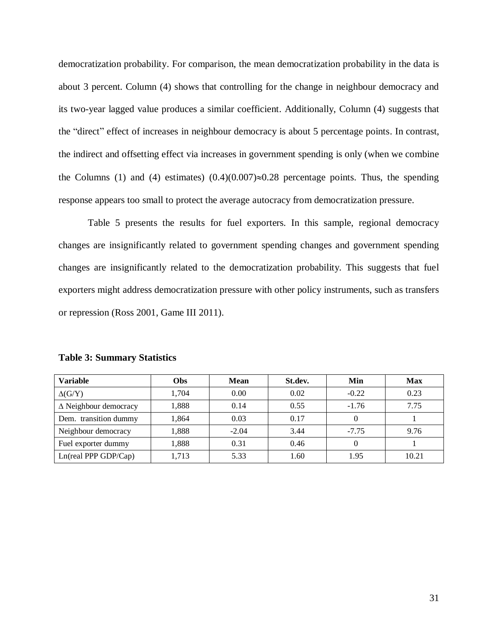democratization probability. For comparison, the mean democratization probability in the data is about 3 percent. Column (4) shows that controlling for the change in neighbour democracy and its two-year lagged value produces a similar coefficient. Additionally, Column (4) suggests that the "direct" effect of increases in neighbour democracy is about 5 percentage points. In contrast, the indirect and offsetting effect via increases in government spending is only (when we combine the Columns (1) and (4) estimates)  $(0.4)(0.007) \approx 0.28$  percentage points. Thus, the spending response appears too small to protect the average autocracy from democratization pressure.

Table 5 presents the results for fuel exporters. In this sample, regional democracy changes are insignificantly related to government spending changes and government spending changes are insignificantly related to the democratization probability. This suggests that fuel exporters might address democratization pressure with other policy instruments, such as transfers or repression (Ross 2001, Game III 2011).

| <b>Variable</b>              | <b>Obs</b> | Mean    | St.dev. | Min     | <b>Max</b> |
|------------------------------|------------|---------|---------|---------|------------|
| $\Delta$ (G/Y)               | 1,704      | 0.00    | 0.02    | $-0.22$ | 0.23       |
| $\Delta$ Neighbour democracy | 1,888      | 0.14    | 0.55    | $-1.76$ | 7.75       |
| Dem. transition dummy        | 1,864      | 0.03    | 0.17    | 0       |            |
| Neighbour democracy          | 1,888      | $-2.04$ | 3.44    | $-7.75$ | 9.76       |
| Fuel exporter dummy          | 1,888      | 0.31    | 0.46    |         |            |
| $Ln$ (real PPP GDP/Cap)      | 1,713      | 5.33    | 1.60    | 1.95    | 10.21      |

**Table 3: Summary Statistics**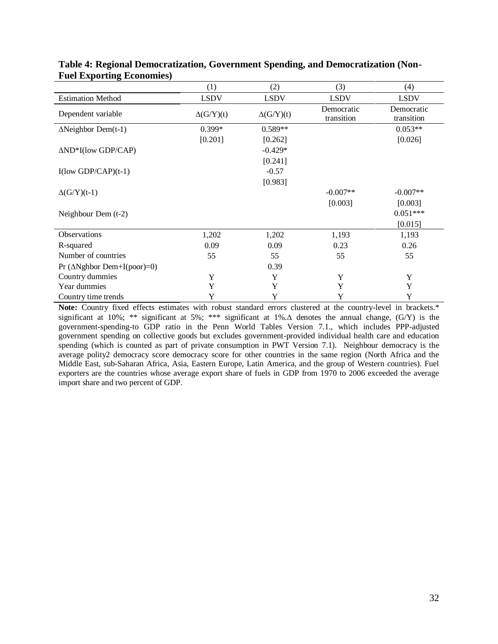|                                     | (1)              | (2)              | (3)                      | (4)                      |
|-------------------------------------|------------------|------------------|--------------------------|--------------------------|
| <b>Estimation Method</b>            | <b>LSDV</b>      | <b>LSDV</b>      | <b>LSDV</b>              | <b>LSDV</b>              |
| Dependent variable                  | $\Delta(G/Y)(t)$ | $\Delta(G/Y)(t)$ | Democratic<br>transition | Democratic<br>transition |
| $\Delta$ Neighbor Dem(t-1)          | 0.399*           | $0.589**$        |                          | $0.053**$                |
|                                     | [0.201]          | [0.262]          |                          | [0.026]                  |
| $\Delta ND*I$ (low GDP/CAP)         |                  | $-0.429*$        |                          |                          |
|                                     |                  | [0.241]          |                          |                          |
| $I$ (low GDP/CAP)(t-1)              |                  | $-0.57$          |                          |                          |
|                                     |                  | [0.983]          |                          |                          |
| $\Delta(G/Y)(t-1)$                  |                  |                  | $-0.007**$               | $-0.007**$               |
|                                     |                  |                  | [0.003]                  | [0.003]                  |
| Neighbour Dem $(t-2)$               |                  |                  |                          | $0.051***$               |
|                                     |                  |                  |                          | [0.015]                  |
| Observations                        | 1,202            | 1,202            | 1,193                    | 1,193                    |
| R-squared                           | 0.09             | 0.09             | 0.23                     | 0.26                     |
| Number of countries                 | 55               | 55               | 55                       | 55                       |
| Pr ( $\Delta$ Nghbor Dem+I(poor)=0) |                  | 0.39             |                          |                          |
| Country dummies                     | Y                | Y                | Y                        | Y                        |
| Year dummies                        | Y                | Y                | Y                        | Y                        |
| Country time trends                 | Y                | Y                | Y                        | Y                        |

| Table 4: Regional Democratization, Government Spending, and Democratization (Non- |  |
|-----------------------------------------------------------------------------------|--|
| <b>Fuel Exporting Economies</b> )                                                 |  |

**Note:** Country fixed effects estimates with robust standard errors clustered at the country-level in brackets.\* significant at 10%; \*\* significant at 5%; \*\*\* significant at 1%. $\Delta$  denotes the annual change, (G/Y) is the government-spending-to GDP ratio in the Penn World Tables Version 7.1., which includes PPP-adjusted government spending on collective goods but excludes government-provided individual health care and education spending (which is counted as part of private consumption in PWT Version 7.1). Neighbour democracy is the average polity2 democracy score democracy score for other countries in the same region (North Africa and the Middle East, sub-Saharan Africa, Asia, Eastern Europe, Latin America, and the group of Western countries). Fuel exporters are the countries whose average export share of fuels in GDP from 1970 to 2006 exceeded the average import share and two percent of GDP.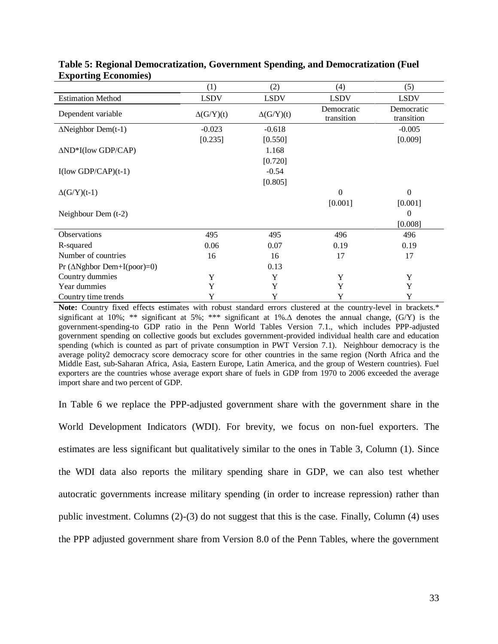|                                        | (1)              | (2)              | (4)                      | (5)                      |
|----------------------------------------|------------------|------------------|--------------------------|--------------------------|
| <b>Estimation Method</b>               | <b>LSDV</b>      | <b>LSDV</b>      | <b>LSDV</b>              | <b>LSDV</b>              |
| Dependent variable                     | $\Delta(G/Y)(t)$ | $\Delta(G/Y)(t)$ | Democratic<br>transition | Democratic<br>transition |
| $\Delta$ Neighbor Dem(t-1)             | $-0.023$         | $-0.618$         |                          | $-0.005$                 |
|                                        | [0.235]          | [0.550]          |                          | [0.009]                  |
| $\Delta ND*I$ (low GDP/CAP)            |                  | 1.168            |                          |                          |
|                                        |                  | [0.720]          |                          |                          |
| $I(\text{low GDP}/\text{CAP})(t-1)$    |                  | $-0.54$          |                          |                          |
|                                        |                  | [0.805]          |                          |                          |
| $\Delta(G/Y)(t-1)$                     |                  |                  | $\Omega$                 | $\boldsymbol{0}$         |
|                                        |                  |                  | [0.001]                  | [0.001]                  |
| Neighbour Dem $(t-2)$                  |                  |                  |                          | $\mathbf{0}$             |
|                                        |                  |                  |                          | [0.008]                  |
| Observations                           | 495              | 495              | 496                      | 496                      |
| R-squared                              | 0.06             | 0.07             | 0.19                     | 0.19                     |
| Number of countries                    | 16               | 16               | 17                       | 17                       |
| Pr ( $\triangle$ Nghbor Dem+I(poor)=0) |                  | 0.13             |                          |                          |
| Country dummies                        | Y                | Y                | Y                        | Y                        |
| Year dummies                           | Y                | Y                | Y                        | Y                        |
| Country time trends                    | Y                | Y                | Y                        | Y                        |

**Table 5: Regional Democratization, Government Spending, and Democratization (Fuel Exporting Economies)**

**Note:** Country fixed effects estimates with robust standard errors clustered at the country-level in brackets.\* significant at 10%; \*\* significant at 5%; \*\*\* significant at 1%. $\Delta$  denotes the annual change, (G/Y) is the government-spending-to GDP ratio in the Penn World Tables Version 7.1., which includes PPP-adjusted government spending on collective goods but excludes government-provided individual health care and education spending (which is counted as part of private consumption in PWT Version 7.1). Neighbour democracy is the average polity2 democracy score democracy score for other countries in the same region (North Africa and the Middle East, sub-Saharan Africa, Asia, Eastern Europe, Latin America, and the group of Western countries). Fuel exporters are the countries whose average export share of fuels in GDP from 1970 to 2006 exceeded the average import share and two percent of GDP.

In Table 6 we replace the PPP-adjusted government share with the government share in the World Development Indicators (WDI). For brevity, we focus on non-fuel exporters. The estimates are less significant but qualitatively similar to the ones in Table 3, Column (1). Since the WDI data also reports the military spending share in GDP, we can also test whether autocratic governments increase military spending (in order to increase repression) rather than public investment. Columns (2)-(3) do not suggest that this is the case. Finally, Column (4) uses the PPP adjusted government share from Version 8.0 of the Penn Tables, where the government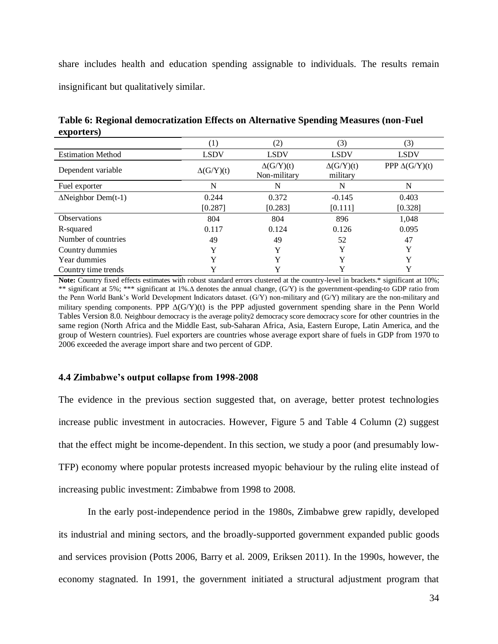share includes health and education spending assignable to individuals. The results remain insignificant but qualitatively similar.

|                            | (1)              | (2)                              | (3)                          | (3)                   |
|----------------------------|------------------|----------------------------------|------------------------------|-----------------------|
| <b>Estimation Method</b>   | <b>LSDV</b>      | <b>LSDV</b>                      | <b>LSDV</b>                  | <b>LSDV</b>           |
| Dependent variable         | $\Delta(G/Y)(t)$ | $\Delta(G/Y)(t)$<br>Non-military | $\Delta(G/Y)(t)$<br>military | PPP $\Delta$ (G/Y)(t) |
| Fuel exporter              | N                | N                                | N                            | N                     |
| $\Delta$ Neighbor Dem(t-1) | 0.244            | 0.372                            | $-0.145$                     | 0.403                 |
|                            | [0.287]          | [0.283]                          | [0.111]                      | [0.328]               |
| <b>Observations</b>        | 804              | 804                              | 896                          | 1,048                 |
| R-squared                  | 0.117            | 0.124                            | 0.126                        | 0.095                 |
| Number of countries        | 49               | 49                               | 52                           | 47                    |
| Country dummies            | Y                | $\mathbf{v}$                     | v                            | Y                     |
| Year dummies               | Y                | $\mathbf{v}$                     | Y                            | Y                     |
| Country time trends        |                  |                                  |                              | Y                     |

**Table 6: Regional democratization Effects on Alternative Spending Measures (non-Fuel exporters)**

Note: Country fixed effects estimates with robust standard errors clustered at the country-level in brackets.\* significant at 10%; \*\* significant at 5%; \*\*\* significant at 1%. denotes the annual change, (G/Y) is the government-spending-to GDP ratio from the Penn World Bank's World Development Indicators dataset. (G/Y) non-military and (G/Y) military are the non-military and military spending components. PPP  $\Delta(G/Y)(t)$  is the PPP adjusted government spending share in the Penn World Tables Version 8.0. Neighbour democracy is the average polity2 democracy score democracy score for other countries in the same region (North Africa and the Middle East, sub-Saharan Africa, Asia, Eastern Europe, Latin America, and the group of Western countries). Fuel exporters are countries whose average export share of fuels in GDP from 1970 to 2006 exceeded the average import share and two percent of GDP.

### **4.4 Zimbabwe's output collapse from 1998-2008**

The evidence in the previous section suggested that, on average, better protest technologies increase public investment in autocracies. However, Figure 5 and Table 4 Column (2) suggest that the effect might be income-dependent. In this section, we study a poor (and presumably low-TFP) economy where popular protests increased myopic behaviour by the ruling elite instead of increasing public investment: Zimbabwe from 1998 to 2008.

In the early post-independence period in the 1980s, Zimbabwe grew rapidly, developed its industrial and mining sectors, and the broadly-supported government expanded public goods and services provision (Potts 2006, Barry et al. 2009, Eriksen 2011). In the 1990s, however, the economy stagnated. In 1991, the government initiated a structural adjustment program that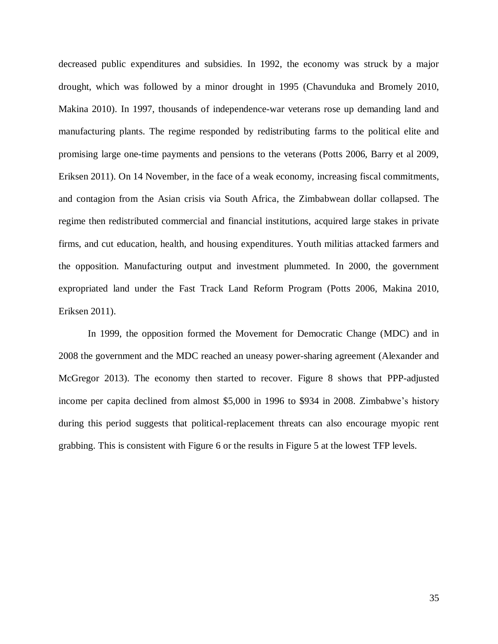decreased public expenditures and subsidies. In 1992, the economy was struck by a major drought, which was followed by a minor drought in 1995 (Chavunduka and Bromely 2010, Makina 2010). In 1997, thousands of independence-war veterans rose up demanding land and manufacturing plants. The regime responded by redistributing farms to the political elite and promising large one-time payments and pensions to the veterans (Potts 2006, Barry et al 2009, Eriksen 2011). On 14 November, in the face of a weak economy, increasing fiscal commitments, and contagion from the Asian crisis via South Africa, the Zimbabwean dollar collapsed. The regime then redistributed commercial and financial institutions, acquired large stakes in private firms, and cut education, health, and housing expenditures. Youth militias attacked farmers and the opposition. Manufacturing output and investment plummeted. In 2000, the government expropriated land under the Fast Track Land Reform Program (Potts 2006, Makina 2010, Eriksen 2011).

In 1999, the opposition formed the Movement for Democratic Change (MDC) and in 2008 the government and the MDC reached an uneasy power-sharing agreement (Alexander and McGregor 2013). The economy then started to recover. Figure 8 shows that PPP-adjusted income per capita declined from almost \$5,000 in 1996 to \$934 in 2008. Zimbabwe's history during this period suggests that political-replacement threats can also encourage myopic rent grabbing. This is consistent with Figure 6 or the results in Figure 5 at the lowest TFP levels.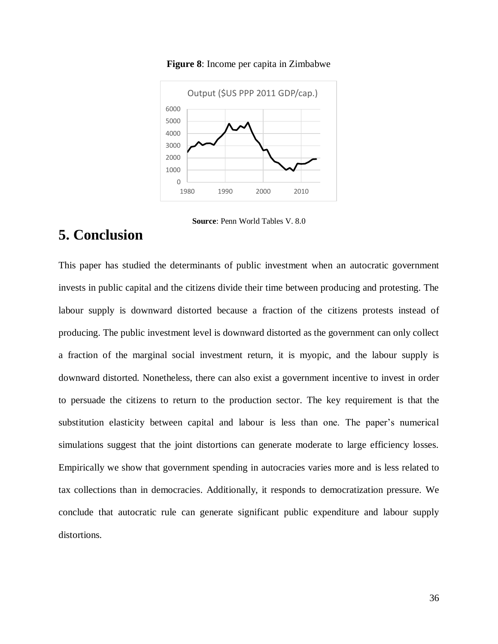

**Figure 8**: Income per capita in Zimbabwe

**Source**: Penn World Tables V. 8.0

# **5. Conclusion**

This paper has studied the determinants of public investment when an autocratic government invests in public capital and the citizens divide their time between producing and protesting. The labour supply is downward distorted because a fraction of the citizens protests instead of producing. The public investment level is downward distorted as the government can only collect a fraction of the marginal social investment return, it is myopic, and the labour supply is downward distorted. Nonetheless, there can also exist a government incentive to invest in order to persuade the citizens to return to the production sector. The key requirement is that the substitution elasticity between capital and labour is less than one. The paper's numerical simulations suggest that the joint distortions can generate moderate to large efficiency losses. Empirically we show that government spending in autocracies varies more and is less related to tax collections than in democracies. Additionally, it responds to democratization pressure. We conclude that autocratic rule can generate significant public expenditure and labour supply distortions.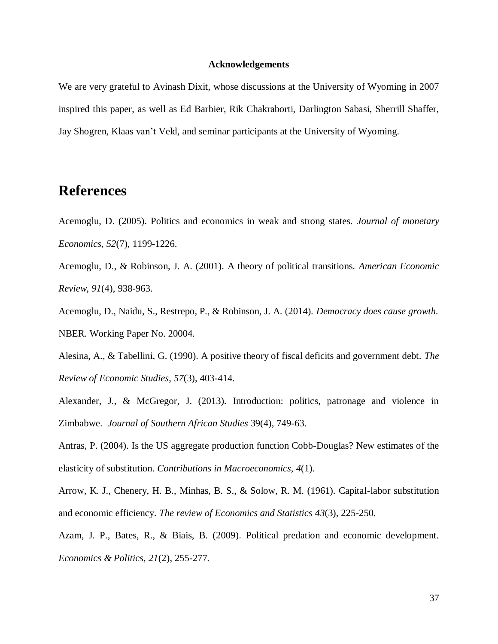### **Acknowledgements**

We are very grateful to Avinash Dixit, whose discussions at the University of Wyoming in 2007 inspired this paper, as well as Ed Barbier, Rik Chakraborti, Darlington Sabasi, Sherrill Shaffer, Jay Shogren, Klaas van't Veld, and seminar participants at the University of Wyoming.

# **References**

- Acemoglu, D. (2005). Politics and economics in weak and strong states. *Journal of monetary Economics*, *52*(7), 1199-1226.
- Acemoglu, D., & Robinson, J. A. (2001). A theory of political transitions. *American Economic Review*, *91*(4), 938-963.
- Acemoglu, D., Naidu, S., Restrepo, P., & Robinson, J. A. (2014). *Democracy does cause growth.* NBER. Working Paper No. 20004.
- Alesina, A., & Tabellini, G. (1990). A positive theory of fiscal deficits and government debt. *The Review of Economic Studies*, *57*(3), 403-414.
- Alexander, J., & McGregor, J. (2013). Introduction: politics, patronage and violence in Zimbabwe. *Journal of Southern African Studies* 39(4), 749-63.
- Antras, P. (2004). Is the US aggregate production function Cobb-Douglas? New estimates of the elasticity of substitution. *Contributions in Macroeconomics*, *4*(1).
- Arrow, K. J., Chenery, H. B., Minhas, B. S., & Solow, R. M. (1961). Capital-labor substitution and economic efficiency. *The review of Economics and Statistics 43*(3), 225-250.
- Azam, J. P., Bates, R., & Biais, B. (2009). Political predation and economic development. *Economics & Politics*, *21*(2), 255-277.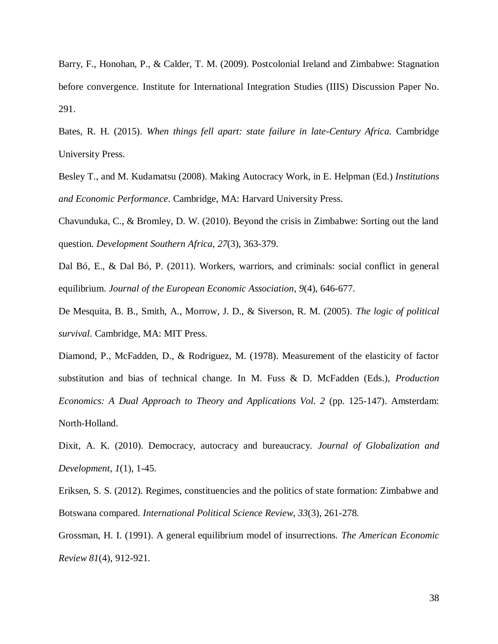Barry, F., Honohan, P., & Calder, T. M. (2009). Postcolonial Ireland and Zimbabwe: Stagnation before convergence. Institute for International Integration Studies (IIIS) Discussion Paper No. 291.

- Bates, R. H. (2015). *When things fell apart: state failure in late-Century Africa.* Cambridge University Press.
- Besley T., and M. Kudamatsu (2008). Making Autocracy Work, in E. Helpman (Ed.) *Institutions and Economic Performance*. Cambridge, MA: Harvard University Press.

Chavunduka, C., & Bromley, D. W. (2010). Beyond the crisis in Zimbabwe: Sorting out the land question. *Development Southern Africa*, *27*(3), 363-379.

Dal Bó, E., & Dal Bó, P. (2011). Workers, warriors, and criminals: social conflict in general equilibrium. *Journal of the European Economic Association*, *9*(4), 646-677.

De Mesquita, B. B., Smith, A., Morrow, J. D., & Siverson, R. M. (2005). *The logic of political survival*. Cambridge, MA: MIT Press.

Diamond, P., McFadden, D., & Rodriguez, M. (1978). Measurement of the elasticity of factor substitution and bias of technical change. In M. Fuss & D. McFadden (Eds.), *Production Economics: A Dual Approach to Theory and Applications Vol. 2* (pp. 125-147). Amsterdam: North-Holland.

Dixit, A. K. (2010). Democracy, autocracy and bureaucracy. *Journal of Globalization and Development*, *1*(1), 1-45.

Eriksen, S. S. (2012). Regimes, constituencies and the politics of state formation: Zimbabwe and Botswana compared. *International Political Science Review*, *33*(3), 261-278.

Grossman, H. I. (1991). A general equilibrium model of insurrections. *The American Economic Review 81*(4), 912-921.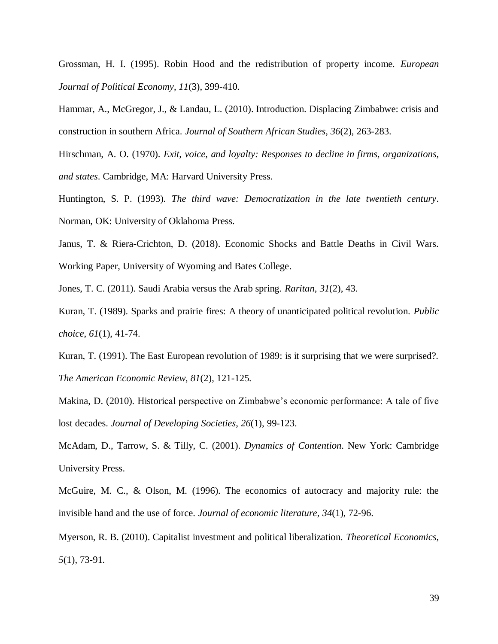Grossman, H. I. (1995). Robin Hood and the redistribution of property income. *European Journal of Political Economy*, *11*(3), 399-410.

Hammar, A., McGregor, J., & Landau, L. (2010). Introduction. Displacing Zimbabwe: crisis and construction in southern Africa. *Journal of Southern African Studies*, *36*(2), 263-283.

Hirschman, A. O. (1970). *Exit, voice, and loyalty: Responses to decline in firms, organizations, and states*. Cambridge, MA: Harvard University Press.

Huntington, S. P. (1993). *The third wave: Democratization in the late twentieth century*. Norman, OK: University of Oklahoma Press.

Janus, T. & Riera-Crichton, D. (2018). Economic Shocks and Battle Deaths in Civil Wars. Working Paper, University of Wyoming and Bates College.

Jones, T. C. (2011). Saudi Arabia versus the Arab spring. *Raritan*, *31*(2), 43.

Kuran, T. (1989). Sparks and prairie fires: A theory of unanticipated political revolution. *Public choice*, *61*(1), 41-74.

Kuran, T. (1991). The East European revolution of 1989: is it surprising that we were surprised?. *The American Economic Review*, *81*(2), 121-125.

Makina, D. (2010). Historical perspective on Zimbabwe's economic performance: A tale of five lost decades. *Journal of Developing Societies*, *26*(1), 99-123.

McAdam, D., Tarrow, S. & Tilly, C. (2001). *Dynamics of Contention*. New York: Cambridge University Press.

McGuire, M. C., & Olson, M. (1996). The economics of autocracy and majority rule: the invisible hand and the use of force. *Journal of economic literature*, *34*(1), 72-96.

Myerson, R. B. (2010). Capitalist investment and political liberalization. *Theoretical Economics*, *5*(1), 73-91.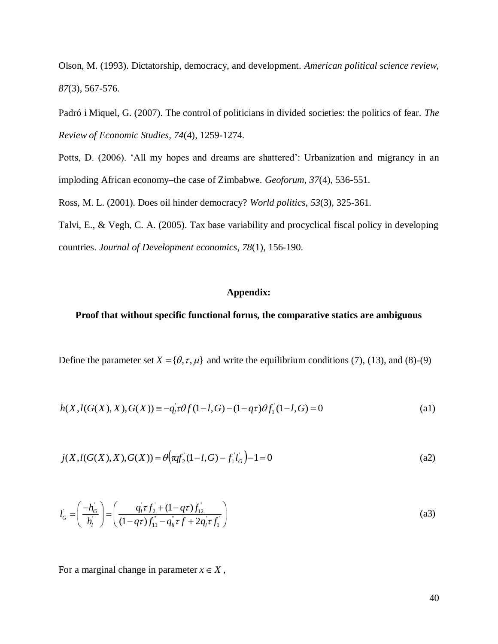Olson, M. (1993). Dictatorship, democracy, and development. *American political science review*, *87*(3), 567-576.

Padró i Miquel, G. (2007). The control of politicians in divided societies: the politics of fear. *The Review of Economic Studies*, *74*(4), 1259-1274.

Potts, D. (2006). 'All my hopes and dreams are shattered': Urbanization and migrancy in an imploding African economy–the case of Zimbabwe. *Geoforum*, *37*(4), 536-551.

Ross, M. L. (2001). Does oil hinder democracy? *World politics*, *53*(3), 325-361.

Talvi, E., & Vegh, C. A. (2005). Tax base variability and procyclical fiscal policy in developing countries. *Journal of Development economics*, *78*(1), 156-190.

### **Appendix:**

### **Proof that without specific functional forms, the comparative statics are ambiguous**

Define the parameter set  $X = \{\theta, \tau, \mu\}$  and write the equilibrium conditions (7), (13), and (8)-(9)

$$
h(X, l(G(X), X), G(X)) \equiv -q_i \tau \theta f(1 - l, G) - (1 - q \tau) \theta f_1(1 - l, G) = 0
$$
\n(a1)

$$
j(X, l(G(X), X), G(X)) = \theta \left( \overline{aqf}_2(1-l, G) - f_1 l_G \right) - 1 = 0
$$
\n(a2)

$$
l_G = \left(\frac{-h_G}{h_i}\right) = \left(\frac{q_i \tau f_2 + (1 - q \tau) f_1}{(1 - q \tau) f_1 - q_u \tau f + 2q_i \tau f_1}\right)
$$
(a3)

For a marginal change in parameter  $x \in X$ ,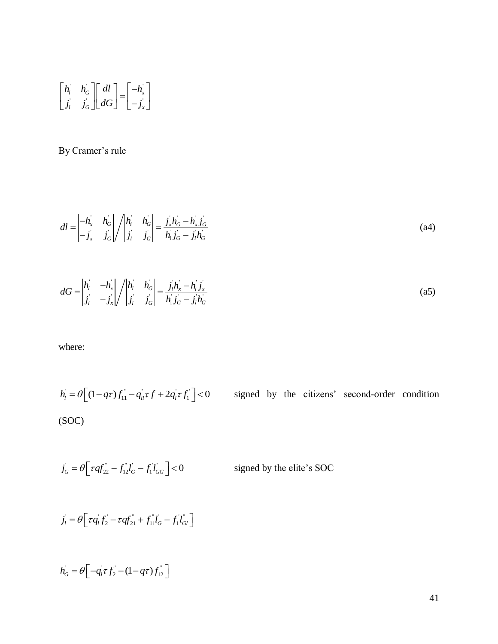$$
\begin{bmatrix} h_i & h_G \\ j_i & j_G \end{bmatrix} \begin{bmatrix} dl \\ dG \end{bmatrix} = \begin{bmatrix} -h_x \\ -j_x \end{bmatrix}
$$

# By Cramer's rule

$$
dl = \begin{vmatrix} -h_x & h_G \\ -j_x & j_G \end{vmatrix} / \begin{vmatrix} h_l & h_G \\ j_l & j_G \end{vmatrix} = \frac{j_x h_G - h_x j_G}{h_1 j_G - j_l h_G}
$$
(a4)

$$
dG = \begin{vmatrix} h_{1} & -h_{x} \\ j_{1} & -j_{x} \end{vmatrix} / \begin{vmatrix} h_{1} & h_{G} \\ j_{1} & j_{G} \end{vmatrix} = \frac{j_{1}h_{x} - h_{1}j_{x}}{h_{1}j_{G} - j_{1}h_{G}}
$$
(a5)

where:

$$
\begin{bmatrix}\n\hat{h}_i & \hat{h}_G \\
\hat{f}_i & \hat{f}_G\n\end{bmatrix}\n\begin{bmatrix}\nd \\ d\n\end{bmatrix} =\n\begin{bmatrix}\n-\hat{h}_x \\
-\hat{f}_x\n\end{bmatrix}
$$
\nBy Cramer's rule\n
$$
dl = \begin{vmatrix}\n-\hat{h}_x & \hat{h}_G \\
-\hat{f}_x & \hat{f}_G\n\end{vmatrix}/\begin{vmatrix}\n\hat{h}_i & \hat{h}_G \\
\hat{f}_i & \hat{f}_G\n\end{vmatrix} = \frac{\hat{f}_i \hat{h}_G - \hat{h}_x \hat{f}_G}{\hat{h}_i \hat{f}_G - \hat{f}_i \hat{h}_G}
$$
\n(a4)\n
$$
dG = \begin{vmatrix}\n\hat{h}_i & -\hat{h}_x \\
\hat{f}_i & -\hat{f}_x\n\end{vmatrix}/\begin{vmatrix}\n\hat{h}_i & \hat{h}_G \\
\hat{f}_i & \hat{f}_G\n\end{vmatrix} = \frac{\hat{f}_i \hat{h}_s - \hat{h}_s \hat{f}_s}{\hat{h}_i \hat{f}_G - \hat{f}_i \hat{h}_G}
$$
\n(a5)\nwhere:\n
$$
\hat{h}_i = \theta \left[ (1 - q\tau) f_{11} - q_{1i} \tau f + 2q_i \tau f_1 \right] < 0
$$
\nsigned by the citizens' second-order condition\n(SOC)\n
$$
\hat{f}_0 = \theta \left[ \tau q f_{22} - f_{12} f_0 - f_1 f_{G0} \right] < 0
$$
\nsigned by the elite's SOC\n
$$
\hat{f}_i = \theta \left[ \tau q f_{i2} - \tau q f_{21} + f_{11} f_0 - f_1 f_{G1} \right]
$$
\n
$$
\hat{h}_0 = \theta \left[ -q_i \tau f_2 - (1 - q\tau) f_{12} \right]
$$
\n41

 $j_G = \theta \left[ \tau q f_{22}^{\dagger} - f_{12}^{\dagger} l_G^{\dagger} - f_1^{\dagger} l_{GG}^{\dagger} \right] < 0$ signed by the elite's SOC

$$
j_{l} = \theta \Big[ \tau q_{l} f_{2} - \tau q f_{21}^{*} + f_{11}^{*} l_{G} - f_{1}^{*} l_{Gl}^{*} \Big]
$$

$$
h_G = \theta \Big[ -q_1 \tau f_2 - (1 - q \tau) f_{12} \Big]
$$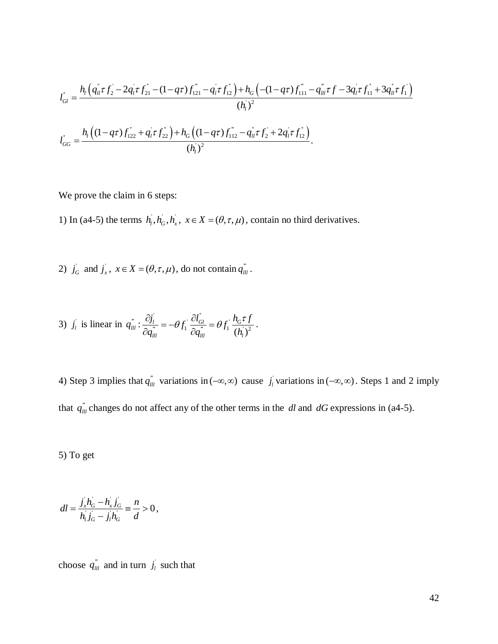$$
l_{Gl} = \frac{h_l \left( q_{ll} \tau f_2 - 2 q_l \tau f_{21} - (1 - q \tau) f_{121} - q_l \tau f_{12} \right) + h_G \left( -(1 - q \tau) f_{111} - q_{lll} \tau f - 3 q_l \tau f_{11} + 3 q_{lll} \tau f_1 \right)}{(h_l)^2}
$$
  

$$
l_{GC} = \frac{h_l \left( (1 - q \tau) f_{122} + q_l \tau f_{22} \right) + h_G \left( (1 - q \tau) f_{112} - q_{lll} \tau f_2 + 2 q_l \tau f_{12} \right)}{(h_l)^2}.
$$

$$
(h_i)^2
$$
  

$$
l_{GG} = \frac{h_i \left( (1 - q\tau) f_{122}^{\dagger} + q_i \tau f_{22}^{\dagger} \right) + h_G \left( (1 - q\tau) f_{112}^{\dagger} - q_{ii}^{\dagger} \tau f_2^{\dagger} + 2 q_i^{\dagger} \tau f_{12}^{\dagger} \right)}{(h_i)^2}.
$$

We prove the claim in 6 steps:

1) In (a4-5) the terms  $h_1, h_G, h_x, x \in X = (\theta, \tau, \mu)$ , contain no third derivatives.

2)  $j_G$  and  $j_x$ ,  $x \in X = (\theta, \tau, \mu)$ , do not contain  $q_{\mu}^{\dagger}$ .

3) 
$$
j_l
$$
 is linear in  $q_{lll}^{\dagger} : \frac{\partial j_l^{\dagger}}{\partial q_{lll}^{\dagger}} = -\theta f_1 \frac{\partial l_{Gl}^{\dagger}}{\partial q_{lll}^{\dagger}} = \theta f_1 \frac{h_G \tau f}{(h_l)^2}$ .

 $\left(a_i \tau f_i - 2a_i \tau f_i, -(1-q\tau)f_{i,0} - q_i \tau f_{i'}\right) + h_{ij}\left(-(1-q\tau)f_{i,1} - q_{i\tau}f' - 3a_i \tau f_{i,1} + 3q_i \tau f_{i}\right)$ <br>  $(h_i)^2$ <br>  $\left((1-q\tau)f_{i,0} + q_i \tau f_{i,1}\right) + h_{ij}\left((1-q\tau)f_{i,1}^2 - q_{i\tau}^2 \tau f_{i} + 2q_i^2 \tau f_{i'}^2\right)$ <br>  $(h_i)^2$ <br>
we the chaim in 6 steps:<br> 4) Step 3 implies that  $q_{\mu\nu}^{\dagger}$  variations in  $(-\infty, \infty)$  cause  $j_{\mu}$  variations in  $(-\infty, \infty)$ . Steps 1 and 2 imply that  $q_{ll}$ <sup>"</sup> changes do not affect any of the other terms in the dl and dG expressions in (a4-5).

5) To get

$$
dl = \frac{j_x h_G - h_x j_G}{h_1 j_G - j_l h_G} \equiv \frac{n}{d} > 0,
$$

choose  $q_{lll}^{\dagger}$  and in turn  $j_l$  such that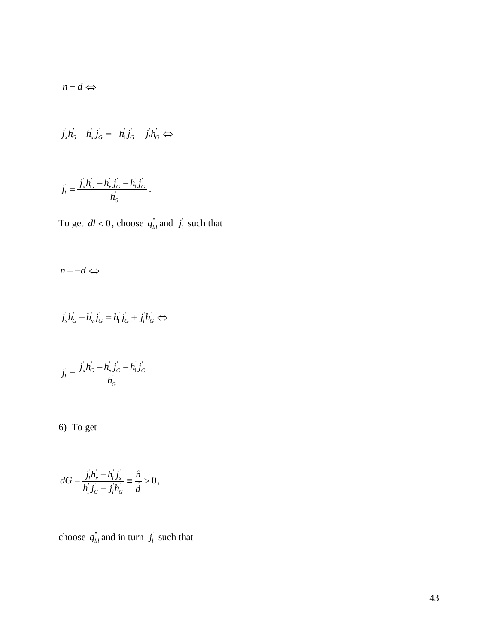$$
n=d \Leftrightarrow
$$

$$
j_x h_G - h_x j_G = -h_1 j_G - j_l h_G \Leftrightarrow
$$

$$
j_{l} = \frac{j_{x}h_{G} - h_{x}j_{G} - h_{1}j_{G}}{-h_{G}}.
$$

To get  $dl < 0$ , choose  $q_{lll}^{\dagger}$  and  $j_l^{\dagger}$  such that

$$
n\!=\!-d \Longleftrightarrow
$$

$$
j_x h_G - h_x j_G = h_1 j_G + j_l h_G \Leftrightarrow
$$

$$
j_l = \frac{j_x h_G - h_x j_G - h_l j_G}{h_G}
$$

6) To get

$$
n = d \Leftrightarrow
$$
  
\n
$$
j_x^{\dagger} h_{\alpha}^{\dagger} - h_{x}^{\dagger} j_{\alpha}^{\dagger} = -h_{x}^{\dagger} j_{\alpha}^{\dagger} - j_{x}^{\dagger} h_{\alpha}^{\dagger} \Leftrightarrow
$$
  
\n
$$
j_y^{\dagger} = \frac{j_x^{\dagger} h_{\alpha}^{\dagger} - h_{x}^{\dagger} j_{\alpha}^{\dagger} - h_{x}^{\dagger} j_{\alpha}^{\dagger}}{-h_{\alpha}^{\dagger}}.
$$
  
\nTo get  $dl < 0$ , choose  $q_{m}^{n}$  and  $j_y$  such that  
\n
$$
n = -d \Leftrightarrow
$$
  
\n
$$
j_x h_{\alpha}^{\dagger} - h_{x}^{\dagger} j_{\alpha}^{\dagger} = h_{x}^{\dagger} j_{\alpha}^{\dagger} + j_x^{\dagger} j_{\alpha}^{\dagger} \Leftrightarrow
$$
  
\n
$$
j_y^{\dagger} = \frac{j_x^{\dagger} h_{\alpha}^{\dagger} - h_{x}^{\dagger} j_{\alpha}^{\dagger}}{h_{\alpha}^{\dagger}}
$$
  
\n6) To get  
\n
$$
dG = \frac{j_x^{\dagger} h_x^{\dagger} - h_{x}^{\dagger} j_x^{\dagger}}{h_{x}^{\dagger} l_{\alpha}^{\dagger} - j_x^{\dagger} h_{\alpha}^{\dagger}} = \frac{\hat{n}}{d} > 0,
$$
  
\nchoose  $q_{m}^{n}$  and in turn  $j_y^{\dagger}$  such that

choose  $q_{\mu}^{\dagger}$  and in turn  $j_{\iota}$  such that